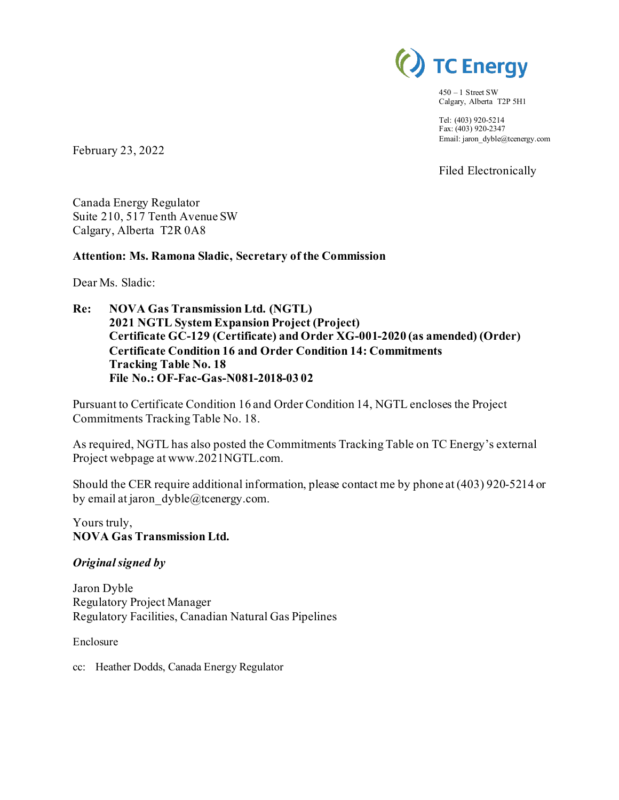

 $450 - 1$  Street SW Calgary, Alberta T2P 5H1

Tel: (403) 920-5214 Fax: (403) 920-2347 Email: jaron\_dyble@tcenergy.com

Filed Electronically

February 23, 2022

Canada Energy Regulator Suite 210, 517 Tenth Avenue SW Calgary, Alberta T2R 0A8

### **Attention: Ms. Ramona Sladic, Secretary of the Commission**

Dear Ms. Sladic:

**Re: NOVA Gas Transmission Ltd. (NGTL) 2021 NGTL System Expansion Project (Project) Certificate GC-129 (Certificate) and Order XG-001-2020 (as amended) (Order) Certificate Condition 16 and Order Condition 14: Commitments Tracking Table No. 18 File No.: OF-Fac-Gas-N081-2018-03 02**

Pursuant to Certificate Condition 16 and Order Condition 14, NGTL encloses the Project Commitments Tracking Table No. 18.

As required, NGTL has also posted the Commitments Tracking Table on TC Energy's external Project webpage at www.2021NGTL.com.

Should the CER require additional information, please contact me by phone at (403) 920-5214 or by email at jaron  $dyble@tcentery.com$ .

Yours truly, **NOVA Gas Transmission Ltd.**

### *Original signed by*

Jaron Dyble Regulatory Project Manager Regulatory Facilities, Canadian Natural Gas Pipelines

Enclosure

cc: Heather Dodds, Canada Energy Regulator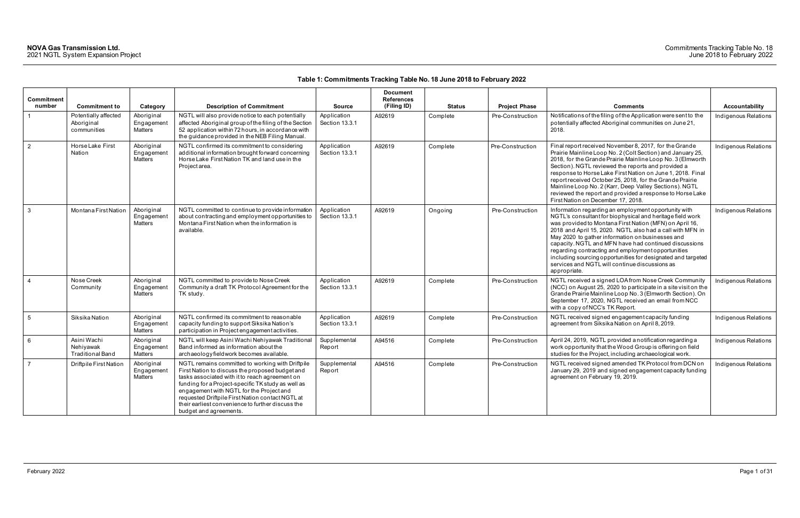| <b>Commitment</b><br>number |                                                     |                                            |                                                                                                                                                                                                                                                                                                                                                                                            |                               | <b>Document</b><br><b>References</b><br>(Filing ID) |               |                      |                                                                                                                                                                                                                                                                                                                                                                                                                                                                                                                                                |                       |
|-----------------------------|-----------------------------------------------------|--------------------------------------------|--------------------------------------------------------------------------------------------------------------------------------------------------------------------------------------------------------------------------------------------------------------------------------------------------------------------------------------------------------------------------------------------|-------------------------------|-----------------------------------------------------|---------------|----------------------|------------------------------------------------------------------------------------------------------------------------------------------------------------------------------------------------------------------------------------------------------------------------------------------------------------------------------------------------------------------------------------------------------------------------------------------------------------------------------------------------------------------------------------------------|-----------------------|
|                             | <b>Commitment to</b>                                | Category                                   | <b>Description of Commitment</b>                                                                                                                                                                                                                                                                                                                                                           | <b>Source</b>                 |                                                     | <b>Status</b> | <b>Project Phase</b> | <b>Comments</b>                                                                                                                                                                                                                                                                                                                                                                                                                                                                                                                                | <b>Accountability</b> |
| $\overline{1}$              | Potentially affected<br>Aboriginal<br>communities   | Aboriginal<br>Engagement<br>Matters        | NGTL will also provide notice to each potentially<br>affected Aboriginal group of the filing of the Section<br>52 application within 72 hours, in accordance with<br>the guidance provided in the NEB Filing Manual.                                                                                                                                                                       | Application<br>Section 13.3.1 | A92619                                              | Complete      | Pre-Construction     | Notifications of the filing of the Application were sent to the<br>potentially affected Aboriginal communities on June 21,<br>2018.                                                                                                                                                                                                                                                                                                                                                                                                            | Indigenous Relations  |
| $\vert$ 2                   | Horse Lake First<br>Nation                          | Aboriginal<br>Engagement<br>Matters        | NGTL confirmed its commitment to considering<br>additional information brought forward concerning<br>Horse Lake First Nation TK and land use in the<br>Project area.                                                                                                                                                                                                                       | Application<br>Section 13.3.1 | A92619                                              | Complete      | Pre-Construction     | Final report received November 8, 2017, for the Grande<br>Prairie Mainline Loop No. 2 (Colt Section) and January 25,<br>2018, for the Grande Prairie Mainline Loop No. 3 (Elmworth<br>Section). NGTL reviewed the reports and provided a<br>response to Horse Lake First Nation on June 1, 2018. Final<br>report received October 25, 2018, for the Grande Prairie<br>Mainline Loop No. 2 (Karr, Deep Valley Sections). NGTL<br>reviewed the report and provided a response to Horse Lake<br>First Nation on December 17, 2018.                | Indigenous Relations  |
| $\mathbf{3}$                | Montana First Nation                                | Aboriginal<br>Engagement<br><b>Matters</b> | NGTL committed to continue to provide information<br>about contracting and employment opportunities to<br>Montana First Nation when the information is<br>available.                                                                                                                                                                                                                       | Application<br>Section 13.3.1 | A92619                                              | Ongoing       | Pre-Construction     | Information regarding an employment opportunity with<br>NGTL's consultant for biophysical and heritage field work<br>was provided to Montana First Nation (MFN) on April 16,<br>2018 and April 15, 2020. NGTL also had a call with MFN in<br>May 2020 to gather information on businesses and<br>capacity. NGTL and MFN have had continued discussions<br>regarding contracting and employment opportunities<br>including sourcing opportunities for designated and targeted<br>services and NGTL will continue discussions as<br>appropriate. | Indigenous Relations  |
| $\overline{4}$              | Nose Creek<br>Community                             | Aboriginal<br>Engagemen<br>Matters         | NGTL committed to provide to Nose Creek<br>Community a draft TK Protocol Agreement for the<br>TK study.                                                                                                                                                                                                                                                                                    | Application<br>Section 13.3.1 | A92619                                              | Complete      | Pre-Construction     | NGTL received a signed LOA from Nose Creek Community<br>(NCC) on August 25, 2020 to participate in a site visit on the<br>Grande Prairie Mainline Loop No. 3 (Elmworth Section). On<br>September 17, 2020, NGTL received an email from NCC<br>with a copy of NCC's TK Report.                                                                                                                                                                                                                                                                  | Indigenous Relations  |
| 5                           | Siksika Nation                                      | Aboriginal<br>Engagement<br>Matters        | NGTL confirmed its commitment to reasonable<br>capacity funding to support Siksika Nation's<br>participation in Project engagement activities.                                                                                                                                                                                                                                             | Application<br>Section 13.3.1 | A92619                                              | Complete      | Pre-Construction     | NGTL received signed engagement capacity funding<br>agreement from Siksika Nation on April 8, 2019.                                                                                                                                                                                                                                                                                                                                                                                                                                            | Indigenous Relations  |
| 6 <sup>6</sup>              | Asini Wachi<br>Nehiyawak<br><b>Traditional Band</b> | Aboriginal<br>Engagemen<br>Matters         | NGTL will keep Asini Wachi Nehiyawak Traditional<br>Band informed as information about the<br>archaeology fieldwork becomes available.                                                                                                                                                                                                                                                     | Supplemental<br>Report        | A94516                                              | Complete      | Pre-Construction     | April 24, 2019, NGTL provided a notification regarding a<br>work opportunity that the Wood Group is offering on field<br>studies for the Project, including archaeological work.                                                                                                                                                                                                                                                                                                                                                               | Indigenous Relations  |
| $\overline{7}$              | <b>Driftpile First Nation</b>                       | Aboriginal<br>Engagemen<br><b>Matters</b>  | NGTL remains committed to working with Driftpile<br>First Nation to discuss the proposed budget and<br>tasks associated with it to reach agreement on<br>funding for a Project-specific TK study as well as<br>engagement with NGTL for the Project and<br>requested Driftpile First Nation contact NGTL at<br>their earliest convenience to further discuss the<br>budget and agreements. | Supplemental<br>Report        | A94516                                              | Complete      | Pre-Construction     | NGTL received signed amended TK Protocol from DCN on<br>January 29, 2019 and signed engagement capacity funding<br>agreement on February 19, 2019.                                                                                                                                                                                                                                                                                                                                                                                             | Indigenous Relations  |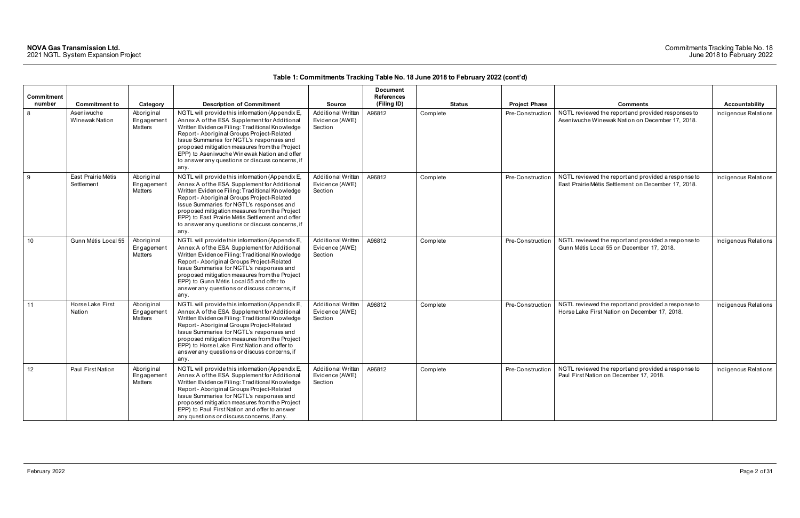### Commitments Tracking Table No. 18 June 2018 to February 2022

|            |                                     |                                     |                                                                                                                                                                                                                                                                                                                                                                                                            |                                                        | <b>Document</b>   |               |                      |                                                                                                            |                       |
|------------|-------------------------------------|-------------------------------------|------------------------------------------------------------------------------------------------------------------------------------------------------------------------------------------------------------------------------------------------------------------------------------------------------------------------------------------------------------------------------------------------------------|--------------------------------------------------------|-------------------|---------------|----------------------|------------------------------------------------------------------------------------------------------------|-----------------------|
| Commitment |                                     |                                     |                                                                                                                                                                                                                                                                                                                                                                                                            |                                                        | <b>References</b> |               |                      |                                                                                                            |                       |
| number     | <b>Commitment to</b>                | Category                            | <b>Description of Commitment</b>                                                                                                                                                                                                                                                                                                                                                                           | <b>Source</b>                                          | (Filing ID)       | <b>Status</b> | <b>Project Phase</b> | <b>Comments</b>                                                                                            | <b>Accountability</b> |
| 8          | Aseniwuche<br><b>Winewak Nation</b> | Aboriginal<br>Engagemen<br>Matters  | NGTL will provide this information (Appendix E,<br>Annex A of the ESA Supplement for Additional<br>Written Evidence Filing: Traditional Knowledge<br>Report - Aboriginal Groups Project-Related<br>Issue Summaries for NGTL's responses and<br>proposed mitigation measures from the Project<br>EPP) to Aseniwuche Winewak Nation and offer<br>to answer any questions or discuss concerns, if<br>any.     | <b>Additional Written</b><br>Evidence (AWE)<br>Section | A96812            | Complete      | Pre-Construction     | NGTL reviewed the report and provided responses to<br>Aseniwuche Winewak Nation on December 17, 2018.      | Indigenous Relations  |
| 9          | East Prairie Métis<br>Settlement    | Aboriginal<br>Engagement<br>Matters | NGTL will provide this information (Appendix E,<br>Annex A of the ESA Supplement for Additional<br>Written Evidence Filing: Traditional Knowledge<br>Report - Aboriginal Groups Project-Related<br>Issue Summaries for NGTL's responses and<br>proposed mitigation measures from the Project<br>EPP) to East Prairie Métis Settlement and offer<br>to answer any questions or discuss concerns, if<br>any. | <b>Additional Written</b><br>Evidence (AWE)<br>Section | A96812            | Complete      | Pre-Construction     | NGTL reviewed the report and provided a response to<br>East Prairie Métis Settlement on December 17, 2018. | Indigenous Relations  |
| 10         | Gunn Métis Local 55                 | Aboriginal<br>Engagement<br>Matters | NGTL will provide this information (Appendix E,<br>Annex A of the ESA Supplement for Additional<br>Written Evidence Filing: Traditional Knowledge<br>Report - Aboriginal Groups Project-Related<br>Issue Summaries for NGTL's responses and<br>proposed mitigation measures from the Project<br>EPP) to Gunn Métis Local 55 and offer to<br>answer any questions or discuss concerns, if<br>any.           | <b>Additional Written</b><br>Evidence (AWE)<br>Section | A96812            | Complete      | Pre-Construction     | NGTL reviewed the report and provided a response to<br>Gunn Métis Local 55 on December 17, 2018.           | Indigenous Relations  |
| 11         | Horse Lake First<br>Nation          | Aboriginal<br>Engagement<br>Matters | NGTL will provide this information (Appendix E,<br>Annex A of the ESA Supplement for Additional<br>Written Evidence Filing: Traditional Knowledge<br>Report - Aboriginal Groups Project-Related<br>Issue Summaries for NGTL's responses and<br>proposed mitigation measures from the Project<br>EPP) to Horse Lake First Nation and offer to<br>answer any questions or discuss concerns, if<br>any.       | Additional Written<br>Evidence (AWE)<br>Section        | A96812            | Complete      | Pre-Construction     | NGTL reviewed the report and provided a response to<br>Horse Lake First Nation on December 17, 2018.       | Indigenous Relations  |
| 12         | Paul First Nation                   | Aboriginal<br>Engagement<br>Matters | NGTL will provide this information (Appendix E,<br>Annex A of the ESA Supplement for Additional<br>Written Evidence Filing: Traditional Knowledge<br>Report - Aboriginal Groups Project-Related<br>Issue Summaries for NGTL's responses and<br>proposed mitigation measures from the Project<br>EPP) to Paul First Nation and offer to answer<br>any questions or discuss concerns, if any.                | Additional Written<br>Evidence (AWE)<br>Section        | A96812            | Complete      | Pre-Construction     | NGTL reviewed the report and provided a response to<br>Paul First Nation on December 17, 2018.             | Indigenous Relations  |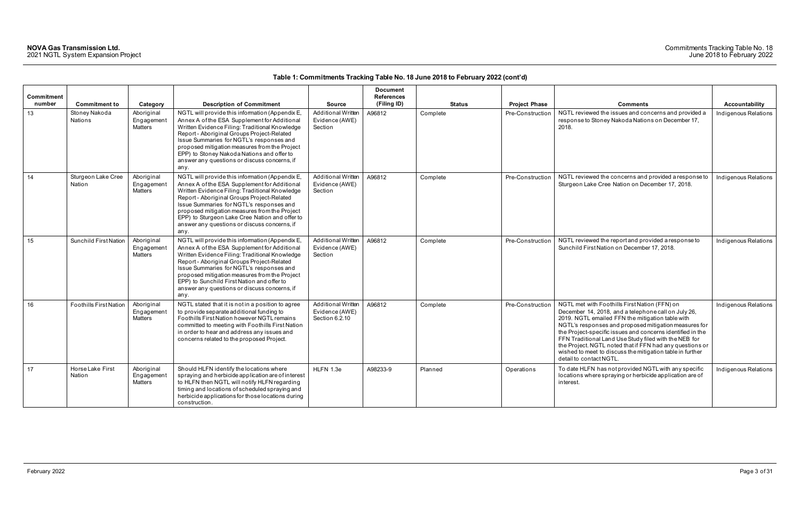### Commitments Tracking Table No. 18 June 2018 to February 2022

|            |                               |                                     |                                                                                                                                                                                                                                                                                                                                                                                                        |                                                        | <b>Document</b>   |               |                      |                                                                                                                                                                                                                                                                                                                                                                                                                                                                                              |                      |
|------------|-------------------------------|-------------------------------------|--------------------------------------------------------------------------------------------------------------------------------------------------------------------------------------------------------------------------------------------------------------------------------------------------------------------------------------------------------------------------------------------------------|--------------------------------------------------------|-------------------|---------------|----------------------|----------------------------------------------------------------------------------------------------------------------------------------------------------------------------------------------------------------------------------------------------------------------------------------------------------------------------------------------------------------------------------------------------------------------------------------------------------------------------------------------|----------------------|
| Commitment |                               |                                     |                                                                                                                                                                                                                                                                                                                                                                                                        |                                                        | <b>References</b> |               |                      |                                                                                                                                                                                                                                                                                                                                                                                                                                                                                              |                      |
| number     | <b>Commitment to</b>          | Category                            | <b>Description of Commitment</b>                                                                                                                                                                                                                                                                                                                                                                       | <b>Source</b>                                          | (Filing ID)       | <b>Status</b> | <b>Project Phase</b> | <b>Comments</b>                                                                                                                                                                                                                                                                                                                                                                                                                                                                              | Accountability       |
| 13         | Stoney Nakoda<br>Nations      | Aboriginal<br>Engagement<br>Matters | NGTL will provide this information (Appendix E,<br>Annex A of the ESA Supplement for Additional<br>Written Evidence Filing: Traditional Knowledge<br>Report - Aboriginal Groups Project-Related<br>Issue Summaries for NGTL's responses and<br>proposed mitigation measures from the Project<br>EPP) to Stoney Nakoda Nations and offer to<br>answer any questions or discuss concerns, if<br>any.     | <b>Additional Written</b><br>Evidence (AWE)<br>Section | A96812            | Complete      | Pre-Construction     | NGTL reviewed the issues and concerns and provided a<br>response to Stoney Nakoda Nations on December 17,<br>2018.                                                                                                                                                                                                                                                                                                                                                                           | Indigenous Relations |
| 14         | Sturgeon Lake Cree<br>Nation  | Aboriginal<br>Engagement<br>Matters | NGTL will provide this information (Appendix E,<br>Annex A of the ESA Supplement for Additional<br>Written Evidence Filing: Traditional Knowledge<br>Report - Aboriginal Groups Project-Related<br>Issue Summaries for NGTL's responses and<br>proposed mitigation measures from the Project<br>EPP) to Sturgeon Lake Cree Nation and offer to<br>answer any questions or discuss concerns, if<br>any. | Additional Written<br>Evidence (AWE)<br>Section        | A96812            | Complete      | Pre-Construction     | NGTL reviewed the concerns and provided a response to<br>Sturgeon Lake Cree Nation on December 17, 2018.                                                                                                                                                                                                                                                                                                                                                                                     | Indigenous Relations |
| 15         | <b>Sunchild First Nation</b>  | Aboriginal<br>Engagement<br>Matters | NGTL will provide this information (Appendix E,<br>Annex A of the ESA Supplement for Additional<br>Written Evidence Filing: Traditional Knowledge<br>Report - Aboriginal Groups Project-Related<br>Issue Summaries for NGTL's responses and<br>proposed mitigation measures from the Project<br>EPP) to Sunchild First Nation and offer to<br>answer any questions or discuss concerns, if<br>any.     | <b>Additional Written</b><br>Evidence (AWE)<br>Section | A96812            | Complete      | Pre-Construction     | NGTL reviewed the report and provided a response to<br>Sunchild First Nation on December 17, 2018.                                                                                                                                                                                                                                                                                                                                                                                           | Indigenous Relations |
| 16         | <b>Foothills First Nation</b> | Aboriginal<br>Engagement<br>Matters | NGTL stated that it is not in a position to agree<br>to provide separate additional funding to<br>Foothills First Nation however NGTL remains<br>committed to meeting with Foothills First Nation<br>in order to hear and address any issues and<br>concerns related to the proposed Project.                                                                                                          | Additional Written<br>Evidence (AWE)<br>Section 6.2.10 | A96812            | Complete      | Pre-Construction     | NGTL met with Foothills First Nation (FFN) on<br>December 14, 2018, and a telephone call on July 26,<br>2019. NGTL emailed FFN the mitigation table with<br>NGTL's responses and proposed mitigation measures for<br>the Project-specific issues and concerns identified in the<br>FFN Traditional Land Use Study filed with the NEB for<br>the Project. NGTL noted that if FFN had any questions or<br>wished to meet to discuss the mitigation table in further<br>detail to contact NGTL. | Indigenous Relations |
| 17         | Horse Lake First<br>Nation    | Aboriginal<br>Engagement<br>Matters | Should HLFN identify the locations where<br>spraying and herbicide application are of interest<br>to HLFN then NGTL will notify HLFN regarding<br>timing and locations of scheduled spraying and<br>herbicide applications for those locations during<br>construction.                                                                                                                                 | HLFN 1.3e                                              | A98233-9          | Planned       | Operations           | To date HLFN has not provided NGTL with any specific<br>locations where spraying or herbicide application are of<br>interest.                                                                                                                                                                                                                                                                                                                                                                | Indigenous Relations |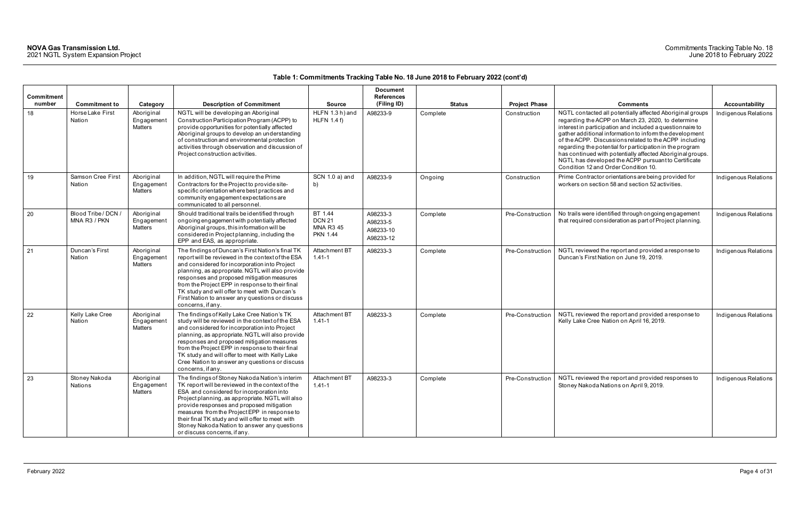### Commitments Tracking Table No. 18 June 2018 to February 2022

|                      |                                     |                                     |                                                                                                                                                                                                                                                                                                                                                                                                                                      |                                                                 | <b>Document</b>                                |               |                      |                                                                                                                                                                                                                                                                                                                                                                                                                                                                                                                            |                      |
|----------------------|-------------------------------------|-------------------------------------|--------------------------------------------------------------------------------------------------------------------------------------------------------------------------------------------------------------------------------------------------------------------------------------------------------------------------------------------------------------------------------------------------------------------------------------|-----------------------------------------------------------------|------------------------------------------------|---------------|----------------------|----------------------------------------------------------------------------------------------------------------------------------------------------------------------------------------------------------------------------------------------------------------------------------------------------------------------------------------------------------------------------------------------------------------------------------------------------------------------------------------------------------------------------|----------------------|
| Commitment<br>number | <b>Commitment to</b>                | Category                            | <b>Description of Commitment</b>                                                                                                                                                                                                                                                                                                                                                                                                     | <b>Source</b>                                                   | <b>References</b><br>(Filing ID)               | <b>Status</b> | <b>Project Phase</b> | <b>Comments</b>                                                                                                                                                                                                                                                                                                                                                                                                                                                                                                            | Accountability       |
| 18                   | Horse Lake First<br>Nation          | Aboriginal<br>Engagement<br>Matters | NGTL will be developing an Aboriginal<br>Construction Participation Program (ACPP) to<br>provide opportunities for potentially affected<br>Aboriginal groups to develop an understanding<br>of construction and environmental protection<br>activities through observation and discussion of<br>Project construction activities.                                                                                                     | HLFN 1.3 h) and<br>HLFN $1.4 f$ )                               | A98233-9                                       | Complete      | Construction         | NGTL contacted all potentially affected Aboriginal groups<br>regarding the ACPP on March 23, 2020, to determine<br>interest in participation and included a questionnaire to<br>gather additional information to inform the development<br>of the ACPP. Discussions related to the ACPP including<br>regarding the potential for participation in the program<br>has continued with potentially affected Aboriginal groups.<br>NGTL has developed the ACPP pursuant to Certificate<br>Condition 12 and Order Condition 10. | Indigenous Relations |
| 19                   | Samson Cree First<br>Nation         | Aboriginal<br>Engagement<br>Matters | In addition, NGTL will require the Prime<br>Contractors for the Project to provide site-<br>specific orientation where best practices and<br>community engagement expectations are<br>communicated to all personnel.                                                                                                                                                                                                                 | SCN 1.0 a) and<br>b)                                            | A98233-9                                       | Ongoing       | Construction         | Prime Contractor orientations are being provided for<br>workers on section 58 and section 52 activities.                                                                                                                                                                                                                                                                                                                                                                                                                   | Indigenous Relations |
| 20                   | Blood Tribe / DCN /<br>MNA R3 / PKN | Aboriginal<br>Engagement<br>Matters | Should traditional trails be identified through<br>ongoing engagement with potentially affected<br>Aboriginal groups, this information will be<br>considered in Project planning, including the<br>EPP and EAS, as appropriate.                                                                                                                                                                                                      | BT 1.44<br><b>DCN 21</b><br><b>MNA R3 45</b><br><b>PKN 1.44</b> | A98233-3<br>A98233-5<br>A98233-10<br>A98233-12 | Complete      | Pre-Construction     | No trails were identified through ongoing engagement<br>that required consideration as part of Project planning.                                                                                                                                                                                                                                                                                                                                                                                                           | Indigenous Relations |
| 21                   | Duncan's First<br>Nation            | Aboriginal<br>Engagement<br>Matters | The findings of Duncan's First Nation's final TK<br>report will be reviewed in the context of the ESA<br>and considered for incorporation into Project<br>planning, as appropriate. NGTL will also provide<br>responses and proposed mitigation measures<br>from the Project EPP in response to their final<br>TK study and will offer to meet with Duncan's<br>First Nation to answer any questions or discuss<br>concerns, if any. | Attachment BT<br>$1.41 - 1$                                     | A98233-3                                       | Complete      | Pre-Construction     | NGTL reviewed the report and provided a response to<br>Duncan's First Nation on June 19, 2019.                                                                                                                                                                                                                                                                                                                                                                                                                             | Indigenous Relations |
| 22                   | Kelly Lake Cree<br>Nation           | Aboriginal<br>Engagement<br>Matters | The findings of Kelly Lake Cree Nation's TK<br>study will be reviewed in the context of the ESA<br>and considered for incorporation into Project<br>planning, as appropriate. NGTL will also provide<br>responses and proposed mitigation measures<br>from the Project EPP in response to their final<br>TK study and will offer to meet with Kelly Lake<br>Cree Nation to answer any questions or discuss<br>concerns, if any.      | Attachment BT<br>$1.41 - 1$                                     | A98233-3                                       | Complete      | Pre-Construction     | NGTL reviewed the report and provided a response to<br>Kelly Lake Cree Nation on April 16, 2019.                                                                                                                                                                                                                                                                                                                                                                                                                           | Indigenous Relations |
| 23                   | Stoney Nakoda<br>Nations            | Aboriginal<br>Engagement<br>Matters | The findings of Stoney Nakoda Nation's interim<br>TK report will be reviewed in the context of the<br>ESA and considered for incorporation into<br>Project planning, as appropriate. NGTL will also<br>provide responses and proposed mitigation<br>measures from the Project EPP in response to<br>their final TK study and will offer to meet with<br>Stoney Nakoda Nation to answer any questions<br>or discuss concerns, if any. | Attachment BT<br>$1.41 - 1$                                     | A98233-3                                       | Complete      | Pre-Construction     | NGTL reviewed the report and provided responses to<br>Stoney Nakoda Nations on April 9, 2019.                                                                                                                                                                                                                                                                                                                                                                                                                              | Indigenous Relations |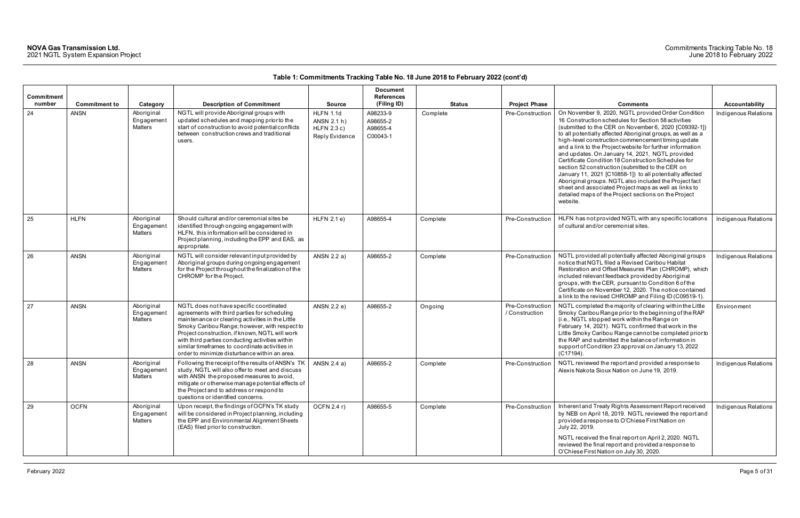| Commitment<br>number | <b>Commitment to</b> | Category                            | <b>Description of Commitment</b>                                                                                                                                                                                                                                                                                                                                                                     | <b>Source</b>                                               | <b>Document</b><br><b>References</b><br>(Filing ID) | <b>Status</b> | <b>Project Phase</b>               | <b>Comments</b>                                                                                                                                                                                                                                                                                                                                                                                                                                                                                                                                                                                                                                                                                                                                                       | <b>Accountability</b> |
|----------------------|----------------------|-------------------------------------|------------------------------------------------------------------------------------------------------------------------------------------------------------------------------------------------------------------------------------------------------------------------------------------------------------------------------------------------------------------------------------------------------|-------------------------------------------------------------|-----------------------------------------------------|---------------|------------------------------------|-----------------------------------------------------------------------------------------------------------------------------------------------------------------------------------------------------------------------------------------------------------------------------------------------------------------------------------------------------------------------------------------------------------------------------------------------------------------------------------------------------------------------------------------------------------------------------------------------------------------------------------------------------------------------------------------------------------------------------------------------------------------------|-----------------------|
| 24                   | <b>ANSN</b>          | Aboriginal<br>Engagement<br>Matters | NGTL will provide Aboriginal groups with<br>updated schedules and mapping prior to the<br>start of construction to avoid potential conflicts<br>between construction crews and traditional<br>users.                                                                                                                                                                                                 | HLFN 1.1d<br>ANSN 2.1 h)<br>$HLFN$ 2.3 c)<br>Reply Evidence | A98233-9<br>A98655-2<br>A98655-4<br>C00043-1        | Complete      | Pre-Construction                   | On November 9, 2020, NGTL provided Order Condition<br>16 Construction schedules for Section 58 activities<br>(submitted to the CER on November 6, 2020 [C09392-1])<br>to all potentially affected Aboriginal groups, as well as a<br>high-level construction commencement timing update<br>and a link to the Project website for further information<br>and updates. On January 14, 2021, NGTL provided<br>Certificate Condition 18 Construction Schedules for<br>section 52 construction (submitted to the CER on<br>January 11, 2021 [C10858-1]) to all potentially affected<br>Aboriginal groups. NGTL also included the Project fact<br>sheet and associated Project maps as well as links to<br>detailed maps of the Project sections on the Project<br>website. | Indigenous Relations  |
| 25                   | <b>HLFN</b>          | Aboriginal<br>Engagement<br>Matters | Should cultural and/or ceremonial sites be<br>identified through ongoing engagement with<br>HLFN, this information will be considered in<br>Project planning, including the EPP and EAS, as<br>appropriate.                                                                                                                                                                                          | $HLFN$ 2.1 e)                                               | A98655-4                                            | Complete      | Pre-Construction                   | HLFN has not provided NGTL with any specific locations<br>of cultural and/or ceremonial sites.                                                                                                                                                                                                                                                                                                                                                                                                                                                                                                                                                                                                                                                                        | Indigenous Relations  |
| 26                   | <b>ANSN</b>          | Aboriginal<br>Engagement<br>Matters | NGTL will consider relevant input provided by<br>Aboriginal groups during ongoing engagement<br>for the Project throughout the finalization of the<br>CHROMP for the Project.                                                                                                                                                                                                                        | ANSN 2.2 a)                                                 | A98655-2                                            | Complete      | Pre-Construction                   | NGTL provided all potentially affected Aboriginal groups<br>notice that NGTL filed a Revised Caribou Habitat<br>Restoration and Offset Measures Plan (CHROMP), which<br>included relevant feedback provided by Aboriginal<br>groups, with the CER, pursuant to Condition 6 of the<br>Certificate on November 12, 2020. The notice contained<br>a link to the revised CHROMP and Filing ID (C09519-1).                                                                                                                                                                                                                                                                                                                                                                 | Indigenous Relations  |
| 27                   | <b>ANSN</b>          | Aboriginal<br>Engagement<br>Matters | NGTL does not have specific coordinated<br>agreements with third parties for scheduling<br>maintenance or clearing activities in the Little<br>Smoky Caribou Range; however, with respect to<br>Project construction, if known, NGTL will work<br>with third parties conducting activities within<br>similar timeframes to coordinate activities in<br>order to minimize disturbance within an area. | ANSN 2.2 e)                                                 | A98655-2                                            | Ongoing       | Pre-Construction<br>/ Construction | NGTL completed the majority of clearing within the Little<br>Smoky Caribou Range prior to the beginning of the RAP<br>(i.e., NGTL stopped work within the Range on<br>February 14, 2021). NGTL confirmed that work in the<br>Little Smoky Caribou Range cannot be completed prior to<br>the RAP and submitted the balance of information in<br>support of Condition 23 approval on January 13, 2022<br>(C17194).                                                                                                                                                                                                                                                                                                                                                      | Environment           |
| 28                   | <b>ANSN</b>          | Aboriginal<br>Engagement<br>Matters | Following the receipt of the results of ANSN's TK<br>study, NGTL will also offer to meet and discuss<br>with ANSN the proposed measures to avoid,<br>mitigate or otherwise manage potential effects of<br>the Project and to address or respond to<br>questions or identified concerns.                                                                                                              | ANSN 2.4 a)                                                 | A98655-2                                            | Complete      | Pre-Construction                   | NGTL reviewed the report and provided a response to<br>Alexis Nakota Sioux Nation on June 19, 2019.                                                                                                                                                                                                                                                                                                                                                                                                                                                                                                                                                                                                                                                                   | Indigenous Relations  |
| 29                   | <b>OCFN</b>          | Aboriginal<br>Engagement<br>Matters | Upon receipt, the findings of OCFN's TK study<br>will be considered in Project planning, including<br>the EPP and Environmental Alignment Sheets<br>(EAS) filed prior to construction.                                                                                                                                                                                                               | OCFN 2.4 r)                                                 | A98655-5                                            | Complete      | Pre-Construction                   | Inherent and Treaty Rights Assessment Report received<br>by NEB on April 18, 2019. NGTL reviewed the report and<br>provided a response to O'Chiese First Nation on<br>July 22, 2019.<br>NGTL received the final report on April 2, 2020. NGTL<br>reviewed the final report and provided a response to<br>O'Chiese First Nation on July 30, 2020.                                                                                                                                                                                                                                                                                                                                                                                                                      | Indigenous Relations  |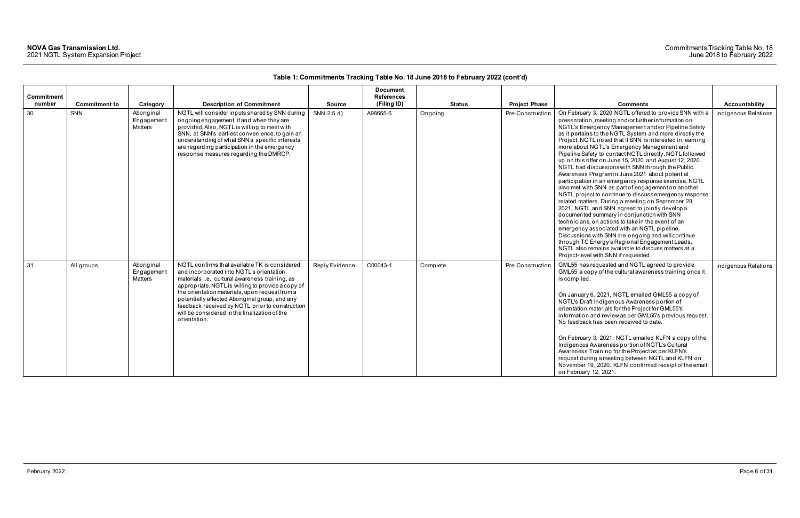### Commitments Tracking Table No. 18 June 2018 to February 2022

|                             |                      |                                            |                                                                                                                                                                                                                                                                                                                                                                                                                           |                | <b>Document</b>                  |               |                      |                                                                                                                                                                                                                                                                                                                                                                                                                                                                                                                                                                                                                                                                                                                                                                                                                                                                                                                                                                                                                                                                                                                                                                                                                 |                      |
|-----------------------------|----------------------|--------------------------------------------|---------------------------------------------------------------------------------------------------------------------------------------------------------------------------------------------------------------------------------------------------------------------------------------------------------------------------------------------------------------------------------------------------------------------------|----------------|----------------------------------|---------------|----------------------|-----------------------------------------------------------------------------------------------------------------------------------------------------------------------------------------------------------------------------------------------------------------------------------------------------------------------------------------------------------------------------------------------------------------------------------------------------------------------------------------------------------------------------------------------------------------------------------------------------------------------------------------------------------------------------------------------------------------------------------------------------------------------------------------------------------------------------------------------------------------------------------------------------------------------------------------------------------------------------------------------------------------------------------------------------------------------------------------------------------------------------------------------------------------------------------------------------------------|----------------------|
| <b>Commitment</b><br>number | <b>Commitment to</b> | Category                                   | <b>Description of Commitment</b>                                                                                                                                                                                                                                                                                                                                                                                          | <b>Source</b>  | <b>References</b><br>(Filing ID) | <b>Status</b> | <b>Project Phase</b> | <b>Comments</b>                                                                                                                                                                                                                                                                                                                                                                                                                                                                                                                                                                                                                                                                                                                                                                                                                                                                                                                                                                                                                                                                                                                                                                                                 | Accountability       |
| 30                          | SNN                  | Aboriginal<br>Engagement<br><b>Matters</b> | NGTL will consider inputs shared by SNN during<br>ongoing engagement, if and when they are<br>provided. Also, NGTL is willing to meet with<br>SNN, at SNN's earliest convenience, to gain an<br>understanding of what SNN's specific interests<br>are regarding participation in the emergency<br>response measures regarding the DMRCP.                                                                                  | SNN 2.5 d)     | A98655-6                         | Ongoing       | Pre-Construction     | On February 3, 2020 NGTL offered to provide SNN with a<br>presentation, meeting and/or further information on<br>NGTL's Emergency Management and/or Pipeline Safety<br>as it pertains to the NGTL System and more directly the<br>Project. NGTL noted that if SNN is interested in learning<br>more about NGTL's Emergency Management and<br>Pipeline Safety to contact NGTL directly. NGTL followed<br>up on this offer on June 15, 2020 and August 12, 2020.<br>NGTL had discussions with SNN through the Public<br>Awareness Program in June 2021 about potential<br>participation in an emergency response exercise. NGTL<br>also met with SNN as part of engagement on another<br>NGTL project to continue to discuss emergency response<br>related matters. During a meeting on September 28,<br>2021, NGTL and SNN agreed to jointly develop a<br>documented summary in conjunction with SNN<br>technicians, on actions to take in the event of an<br>emergency associated with an NGTL pipeline.<br>Discussions with SNN are ongoing and will continue<br>through TC Energy's Regional Engagement Leads.<br>NGTL also remains available to discuss matters at a<br>Project-level with SNN if requested. | Indigenous Relations |
| 31                          | All groups           | Aboriginal<br>Engagemen<br><b>Matters</b>  | NGTL confirms that available TK is considered<br>and incorporated into NGTL's orientation<br>materials i.e., cultural awareness training, as<br>appropriate. NGTL is willing to provide a copy of<br>the orientation materials, upon request from a<br>potentially affected Aboriginal group, and any<br>feedback received by NGTL prior to construction<br>will be considered in the finalization of the<br>orientation. | Reply Evidence | C00043-1                         | Complete      | Pre-Construction     | GML55 has requested and NGTL agreed to provide<br>GML55 a copy of the cultural awareness training once it<br>is compiled.<br>On January 6, 2021, NGTL emailed GML55 a copy of<br>NGTL's Draft Indigenous Awareness portion of<br>orientation materials for the Project for GML55's<br>information and review as per GML55's previous request.<br>No feedback has been received to date.<br>On February 3, 2021, NGTL emailed KLFN a copy of the<br>Indigenous Awareness portion of NGTL's Cultural<br>Awareness Training for the Project as per KLFN's<br>request during a meeting between NGTL and KLFN on<br>November 19, 2020. KLFN confirmed receipt of the email<br>on February 12, 2021.                                                                                                                                                                                                                                                                                                                                                                                                                                                                                                                  | Indigenous Relations |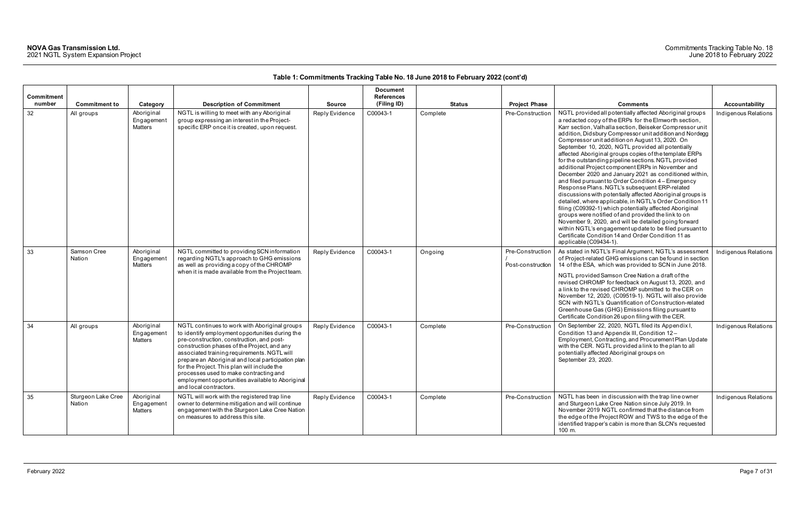| Commitment |                              |                                     |                                                                                                                                                                                                                                                                                                                                                                                                                                                                          |                | <b>Document</b><br><b>References</b> |               |                                       |                                                                                                                                                                                                                                                                                                                                                                                                                                                                                                                                                                                                                                                                                                                                                                                                                                                                                                                                                                                                                                                                                                                                         |                      |
|------------|------------------------------|-------------------------------------|--------------------------------------------------------------------------------------------------------------------------------------------------------------------------------------------------------------------------------------------------------------------------------------------------------------------------------------------------------------------------------------------------------------------------------------------------------------------------|----------------|--------------------------------------|---------------|---------------------------------------|-----------------------------------------------------------------------------------------------------------------------------------------------------------------------------------------------------------------------------------------------------------------------------------------------------------------------------------------------------------------------------------------------------------------------------------------------------------------------------------------------------------------------------------------------------------------------------------------------------------------------------------------------------------------------------------------------------------------------------------------------------------------------------------------------------------------------------------------------------------------------------------------------------------------------------------------------------------------------------------------------------------------------------------------------------------------------------------------------------------------------------------------|----------------------|
| number     | <b>Commitment to</b>         | Category                            | <b>Description of Commitment</b>                                                                                                                                                                                                                                                                                                                                                                                                                                         | <b>Source</b>  | (Filing ID)                          | <b>Status</b> | <b>Project Phase</b>                  | <b>Comments</b>                                                                                                                                                                                                                                                                                                                                                                                                                                                                                                                                                                                                                                                                                                                                                                                                                                                                                                                                                                                                                                                                                                                         | Accountability       |
| 32         | All groups                   | Aboriginal<br>Engagement<br>Matters | NGTL is willing to meet with any Aboriginal<br>group expressing an interest in the Project-<br>specific ERP once it is created, upon request.                                                                                                                                                                                                                                                                                                                            | Reply Evidence | C00043-1                             | Complete      | Pre-Construction                      | NGTL provided all potentially affected Aboriginal groups<br>a redacted copy of the ERPs for the Elmworth section,<br>Karr section, Valhalla section, Beiseker Compressor unit<br>addition, Didsbury Compressor unit addition and Nordegg<br>Compressor unit addition on August 13, 2020. On<br>September 10, 2020, NGTL provided all potentially<br>affected Aboriginal groups copies of the template ERPs<br>for the outstanding pipeline sections. NGTL provided<br>additional Project component ERPs in November and<br>December 2020 and January 2021 as conditioned within,<br>and filed pursuant to Order Condition 4 - Emergency<br>Response Plans. NGTL's subsequent ERP-related<br>discussions with potentially affected Aboriginal groups is<br>detailed, where applicable, in NGTL's Order Condition 11<br>filing (C09392-1) which potentially affected Aboriginal<br>groups were notified of and provided the link to on<br>November 9, 2020, and will be detailed going forward<br>within NGTL's engagement update to be filed pursuant to<br>Certificate Condition 14 and Order Condition 11 as<br>applicable (C09434-1). | Indigenous Relations |
| 33         | Samson Cree<br>Nation        | Aboriginal<br>Engagement<br>Matters | NGTL committed to providing SCN information<br>regarding NGTL's approach to GHG emissions<br>as well as providing a copy of the CHROMP<br>when it is made available from the Project team.                                                                                                                                                                                                                                                                               | Reply Evidence | C00043-1                             | Ongoing       | Pre-Construction<br>Post-construction | As stated in NGTL's Final Argument, NGTL's assessment<br>of Project-related GHG emissions can be found in section<br>14 of the ESA, which was provided to SCN in June 2018.<br>NGTL provided Samson Cree Nation a draft of the<br>revised CHROMP for feedback on August 13, 2020, and<br>a link to the revised CHROMP submitted to the CER on<br>November 12, 2020, (C09519-1). NGTL will also provide<br>SCN with NGTL's Quantification of Construction-related<br>Greenhouse Gas (GHG) Emissions filing pursuant to<br>Certificate Condition 26 upon filing with the CER.                                                                                                                                                                                                                                                                                                                                                                                                                                                                                                                                                             | Indigenous Relations |
| 34         | All groups                   | Aboriginal<br>Engagement<br>Matters | NGTL continues to work with Aboriginal groups<br>to identify employment opportunities during the<br>pre-construction, construction, and post-<br>construction phases of the Project, and any<br>associated training requirements. NGTL will<br>prepare an Aboriginal and local participation plan<br>for the Project. This plan will include the<br>processes used to make contracting and<br>employment opportunities available to Aboriginal<br>and local contractors. | Reply Evidence | C00043-1                             | Complete      | Pre-Construction                      | On September 22, 2020, NGTL filed its Appendix I,<br>Condition 13 and Appendix III, Condition 12-<br>Employment, Contracting, and Procurement Plan Update<br>with the CER. NGTL provided a link to the plan to all<br>potentially affected Aboriginal groups on<br>September 23, 2020.                                                                                                                                                                                                                                                                                                                                                                                                                                                                                                                                                                                                                                                                                                                                                                                                                                                  | Indigenous Relations |
| 35         | Sturgeon Lake Cree<br>Nation | Aboriginal<br>Engagement<br>Matters | NGTL will work with the registered trap line<br>owner to determine mitigation and will continue<br>engagement with the Sturgeon Lake Cree Nation<br>on measures to address this site.                                                                                                                                                                                                                                                                                    | Reply Evidence | C00043-1                             | Complete      | Pre-Construction                      | NGTL has been in discussion with the trap line owner<br>and Sturgeon Lake Cree Nation since July 2019. In<br>November 2019 NGTL confirmed that the distance from<br>the edge of the Project ROW and TWS to the edge of the<br>identified trapper's cabin is more than SLCN's requested<br>100 m.                                                                                                                                                                                                                                                                                                                                                                                                                                                                                                                                                                                                                                                                                                                                                                                                                                        | Indigenous Relations |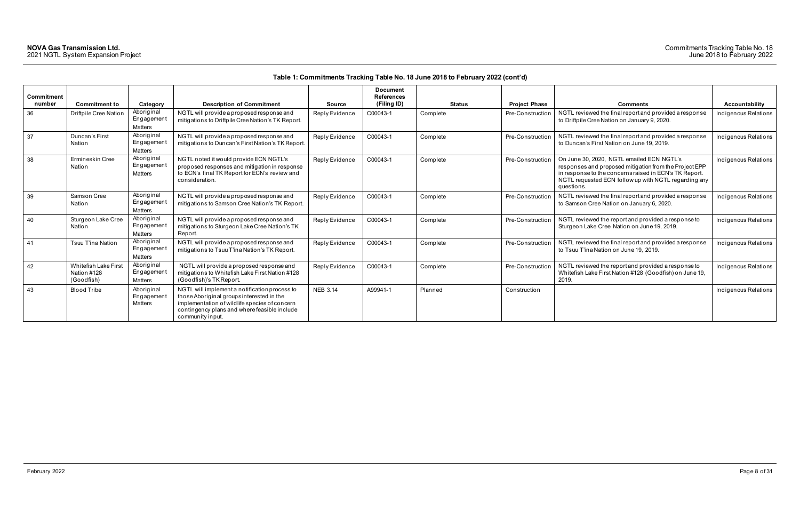### Commitments Tracking Table No. 18 June 2018 to February 2022

| Commitment<br>number | <b>Commitment to</b>                              | Category                                  | <b>Description of Commitment</b>                                                                                                                                                                                | <b>Source</b>   | <b>Document</b><br><b>References</b><br>(Filing ID) | <b>Status</b> | <b>Project Phase</b> | <b>Comments</b>                                                                                                                                                                                                                     | <b>Accountability</b> |
|----------------------|---------------------------------------------------|-------------------------------------------|-----------------------------------------------------------------------------------------------------------------------------------------------------------------------------------------------------------------|-----------------|-----------------------------------------------------|---------------|----------------------|-------------------------------------------------------------------------------------------------------------------------------------------------------------------------------------------------------------------------------------|-----------------------|
| 36                   | Driftpile Cree Nation                             | Aboriginal<br>Engagement<br>Matters       | NGTL will provide a proposed response and<br>mitigations to Driftpile Cree Nation's TK Report.                                                                                                                  | Reply Evidence  | C00043-1                                            | Complete      | Pre-Construction     | NGTL reviewed the final report and provided a response<br>to Driftpile Cree Nation on January 9, 2020.                                                                                                                              | Indigenous Relations  |
| 37                   | Duncan's First<br>Nation                          | Aboriginal<br>Engagemen<br><b>Matters</b> | NGTL will provide a proposed response and<br>mitigations to Duncan's First Nation's TK Report                                                                                                                   | Reply Evidence  | C00043-1                                            | Complete      | Pre-Construction     | NGTL reviewed the final report and provided a response<br>to Duncan's First Nation on June 19, 2019.                                                                                                                                | Indigenous Relations  |
| 38                   | Ermineskin Cree<br>Nation                         | Aboriginal<br>Engagemen<br>Matters        | NGTL noted it would provide ECN NGTL's<br>proposed responses and mitigation in response<br>to ECN's final TK Report for ECN's review and<br>consideration.                                                      | Reply Evidence  | C00043-1                                            | Complete      | Pre-Construction     | On June 30, 2020, NGTL emailed ECN NGTL's<br>responses and proposed mitigation from the Project EPP<br>in response to the concerns raised in ECN's TK Report.<br>NGTL requested ECN follow up with NGTL regarding any<br>questions. | Indigenous Relations  |
| 39                   | Samson Cree<br>Nation                             | Aboriginal<br>Engagemen<br>Matters        | NGTL will provide a proposed response and<br>mitigations to Samson Cree Nation's TK Report.                                                                                                                     | Reply Evidence  | C00043-1                                            | Complete      | Pre-Construction     | NGTL reviewed the final report and provided a response<br>to Samson Cree Nation on January 6, 2020.                                                                                                                                 | Indigenous Relations  |
| 40                   | Sturgeon Lake Cree<br>Nation                      | Aboriginal<br>Engagemen<br>Matters        | NGTL will provide a proposed response and<br>mitigations to Sturgeon Lake Cree Nation's TK<br>Report.                                                                                                           | Reply Evidence  | C00043-1                                            | Complete      | Pre-Construction     | NGTL reviewed the report and provided a response to<br>Sturgeon Lake Cree Nation on June 19, 2019.                                                                                                                                  | Indigenous Relations  |
| 41                   | Tsuu T'ina Nation                                 | Aboriginal<br>Engagemen<br><b>Matters</b> | NGTL will provide a proposed response and<br>mitigations to Tsuu T'ina Nation's TK Report.                                                                                                                      | Reply Evidence  | C00043-1                                            | Complete      | Pre-Construction     | NGTL reviewed the final report and provided a response<br>to Tsuu T'ina Nation on June 19, 2019.                                                                                                                                    | Indigenous Relations  |
| 42                   | Whitefish Lake First<br>Nation #128<br>(Goodfish) | Aboriginal<br>Engagemen<br>Matters        | NGTL will provide a proposed response and<br>mitigations to Whitefish Lake First Nation #128<br>(Goodfish)'s TK Report.                                                                                         | Reply Evidence  | C00043-1                                            | Complete      | Pre-Construction     | NGTL reviewed the report and provided a response to<br>Whitefish Lake First Nation #128 (Goodfish) on June 19,<br>2019.                                                                                                             | Indigenous Relations  |
| 43                   | <b>Blood Tribe</b>                                | Aboriginal<br>Engagemen<br>Matters        | NGTL will implement a notification process to<br>those Aboriginal groups interested in the<br>implementation of wildlife species of concern<br>contingency plans and where feasible include<br>community input. | <b>NEB 3.14</b> | A99941-1                                            | Planned       | Construction         |                                                                                                                                                                                                                                     | Indigenous Relations  |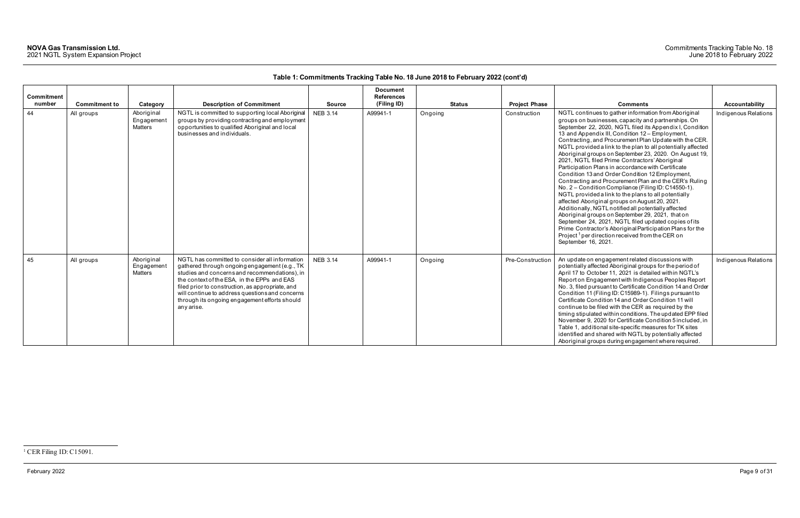### <span id="page-9-0"></span>Commitments Tracking Table No. 18 June 2018 to February 2022

February 2022 Page 9 of 31

| <b>Commitment</b><br>number | <b>Commitment to</b> | Category                                   | <b>Description of Commitment</b>                                                                                                                                                                                                                                                                                                                                      | <b>Source</b>   | <b>Document</b><br><b>References</b><br>(Filing ID) | <b>Status</b> | <b>Project Phase</b> | <b>Comments</b>                                                                                                                                                                                                                                                                                                                                                                                                                                                                                                                                                                                                                                                                                                                                                                                                                                                                                                                                                                                                                                                                                                            | Accountability       |
|-----------------------------|----------------------|--------------------------------------------|-----------------------------------------------------------------------------------------------------------------------------------------------------------------------------------------------------------------------------------------------------------------------------------------------------------------------------------------------------------------------|-----------------|-----------------------------------------------------|---------------|----------------------|----------------------------------------------------------------------------------------------------------------------------------------------------------------------------------------------------------------------------------------------------------------------------------------------------------------------------------------------------------------------------------------------------------------------------------------------------------------------------------------------------------------------------------------------------------------------------------------------------------------------------------------------------------------------------------------------------------------------------------------------------------------------------------------------------------------------------------------------------------------------------------------------------------------------------------------------------------------------------------------------------------------------------------------------------------------------------------------------------------------------------|----------------------|
| 44                          | All groups           | Aboriginal<br>Engagement<br><b>Matters</b> | NGTL is committed to supporting local Aboriginal<br>groups by providing contracting and employment<br>opportunities to qualified Aboriginal and local<br>businesses and individuals.                                                                                                                                                                                  | <b>NEB 3.14</b> | A99941-1                                            | Ongoing       | Construction         | NGTL continues to gather information from Aboriginal<br>groups on businesses, capacity and partnerships. On<br>September 22, 2020, NGTL filed its Appendix I, Condition<br>13 and Appendix III, Condition 12 - Employment,<br>Contracting, and Procurement Plan Update with the CER.<br>NGTL provided a link to the plan to all potentially affected<br>Aboriginal groups on September 23, 2020. On August 19,<br>2021, NGTL filed Prime Contractors' Aboriginal<br>Participation Plans in accordance with Certificate<br>Condition 13 and Order Condition 12 Employment,<br>Contracting and Procurement Plan and the CER's Ruling<br>No. 2 – Condition Compliance (Filing ID: C14550-1).<br>NGTL provided a link to the plans to all potentially<br>affected Aboriginal groups on August 20, 2021.<br>Additionally, NGTL notified all potentially affected<br>Aboriginal groups on September 29, 2021, that on<br>September 24, 2021, NGTL filed updated copies of its<br>Prime Contractor's Aboriginal Participation Plans for the<br>Project <sup>1</sup> per direction received from the CER on<br>September 16, 2021. | Indigenous Relations |
| 45                          | All groups           | Aboriginal<br>Engagement<br>Matters        | NGTL has committed to consider all information<br>gathered through ongoing engagement (e.g., TK<br>studies and concerns and recommendations), in<br>the context of the ESA, in the EPPs and EAS<br>filed prior to construction, as appropriate, and<br>will continue to address questions and concerns<br>through its ongoing engagement efforts should<br>any arise. | <b>NEB 3.14</b> | A99941-1                                            | Ongoing       | Pre-Construction     | An update on engagement related discussions with<br>potentially affected Aboriginal groups for the period of<br>April 17 to October 11, 2021 is detailed within NGTL's<br>Report on Engagement with Indigenous Peoples Report<br>No. 3, filed pursuant to Certificate Condition 14 and Order<br>Condition 11 (Filing ID: C15989-1). Filings pursuant to<br>Certificate Condition 14 and Order Condition 11 will<br>continue to be filed with the CER as required by the<br>timing stipulated within conditions. The updated EPP filed<br>November 9, 2020 for Certificate Condition 5 included, in<br>Table 1, additional site-specific measures for TK sites<br>identified and shared with NGTL by potentially affected<br>Aboriginal groups during engagement where required.                                                                                                                                                                                                                                                                                                                                            | Indigenous Relations |

<sup>&</sup>lt;sup>1</sup> CER Filing ID: C15091.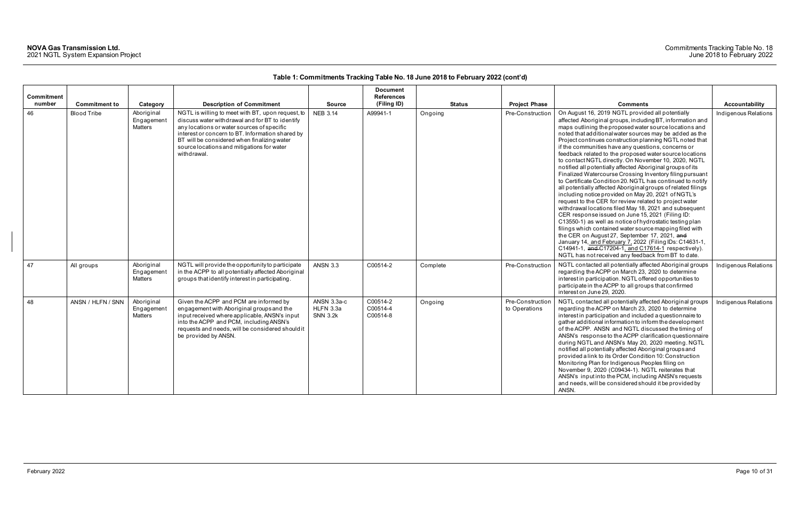| <b>Commitment</b> |                      |                                     |                                                                                                                                                                                                                                                                                                                    |                                             | <b>Document</b><br><b>References</b> |               |                                   |                                                                                                                                                                                                                                                                                                                                                                                                                                                                                                                                                                                                                                                                                                                                                                                                                                                                                                                                                                                                                                                                                                                                                                                                                                                                                                               |                      |
|-------------------|----------------------|-------------------------------------|--------------------------------------------------------------------------------------------------------------------------------------------------------------------------------------------------------------------------------------------------------------------------------------------------------------------|---------------------------------------------|--------------------------------------|---------------|-----------------------------------|---------------------------------------------------------------------------------------------------------------------------------------------------------------------------------------------------------------------------------------------------------------------------------------------------------------------------------------------------------------------------------------------------------------------------------------------------------------------------------------------------------------------------------------------------------------------------------------------------------------------------------------------------------------------------------------------------------------------------------------------------------------------------------------------------------------------------------------------------------------------------------------------------------------------------------------------------------------------------------------------------------------------------------------------------------------------------------------------------------------------------------------------------------------------------------------------------------------------------------------------------------------------------------------------------------------|----------------------|
| number            | <b>Commitment to</b> | Category                            | <b>Description of Commitment</b>                                                                                                                                                                                                                                                                                   | <b>Source</b>                               | (Filing ID)                          | <b>Status</b> | <b>Project Phase</b>              | <b>Comments</b>                                                                                                                                                                                                                                                                                                                                                                                                                                                                                                                                                                                                                                                                                                                                                                                                                                                                                                                                                                                                                                                                                                                                                                                                                                                                                               | Accountability       |
| 46                | <b>Blood Tribe</b>   | Aboriginal<br>Engagement<br>Matters | NGTL is willing to meet with BT, upon request, to<br>discuss water withdrawal and for BT to identify<br>any locations or water sources of specific<br>interest or concern to BT. Information shared by<br>BT will be considered when finalizing water<br>source locations and mitigations for water<br>withdrawal. | <b>NEB 3.14</b>                             | A99941-1                             | Ongoing       | Pre-Construction                  | On August 16, 2019 NGTL provided all potentially<br>affected Aboriginal groups, including BT, information and<br>maps outlining the proposed water source locations and<br>noted that additional water sources may be added as the<br>Project continues construction planning NGTL noted that<br>if the communities have any questions, concerns or<br>feedback related to the proposed water source locations<br>to contact NGTL directly. On November 10, 2020, NGTL<br>notified all potentially affected Aboriginal groups of its<br>Finalized Watercourse Crossing Inventory filing pursuant<br>to Certificate Condition 20. NGTL has continued to notify<br>all potentially affected Aboriginal groups of related filings<br>including notice provided on May 20, 2021 of NGTL's<br>request to the CER for review related to project water<br>withdrawal locations filed May 18, 2021 and subsequent<br>CER response issued on June 15, 2021 (Filing ID:<br>C13550-1) as well as notice of hydrostatic testing plan<br>filings which contained water source mapping filed with<br>the CER on August 27, September 17, 2021, and<br>January 14, and February 7, 2022 (Filing IDs: C14631-1,<br>C14941-1, and C17204-1, and C17614-1 respectively).<br>NGTL has not received any feedback from BT to date. | Indigenous Relations |
| 47                | All groups           | Aboriginal<br>Engagement<br>Matters | NGTL will provide the opportunity to participate<br>in the ACPP to all potentially affected Aboriginal<br>groups that identify interest in participating.                                                                                                                                                          | <b>ANSN 3.3</b>                             | C00514-2                             | Complete      | Pre-Construction                  | NGTL contacted all potentially affected Aboriginal groups<br>regarding the ACPP on March 23, 2020 to determine<br>interest in participation. NGTL offered opportunities to<br>participate in the ACPP to all groups that confirmed<br>interest on June 29, 2020.                                                                                                                                                                                                                                                                                                                                                                                                                                                                                                                                                                                                                                                                                                                                                                                                                                                                                                                                                                                                                                              | Indigenous Relations |
| 48                | ANSN / HLFN / SNN    | Aboriginal<br>Engagement<br>Matters | Given the ACPP and PCM are informed by<br>engagement with Aboriginal groups and the<br>input received where applicable, ANSN's input<br>into the ACPP and PCM, including ANSN's<br>requests and needs, will be considered should it<br>be provided by ANSN.                                                        | ANSN 3.3a-c<br>HLFN 3.3a<br><b>SNN 3.2k</b> | C00514-2<br>C00514-4<br>C00514-8     | Ongoing       | Pre-Construction<br>to Operations | NGTL contacted all potentially affected Aboriginal groups<br>regarding the ACPP on March 23, 2020 to determine<br>interest in participation and included a questionnaire to<br>gather additional information to inform the development<br>of the ACPP. ANSN and NGTL discussed the timing of<br>ANSN's response to the ACPP clarification questionnaire<br>during NGTL and ANSN's May 20, 2020 meeting. NGTL<br>notified all potentially affected Aboriginal groups and<br>provided a link to its Order Condition 10: Construction<br>Monitoring Plan for Indigenous Peoples filing on<br>November 9, 2020 (C09434-1). NGTL reiterates that<br>ANSN's input into the PCM, including ANSN's requests<br>and needs, will be considered should it be provided by<br>ANSN.                                                                                                                                                                                                                                                                                                                                                                                                                                                                                                                                        | Indigenous Relations |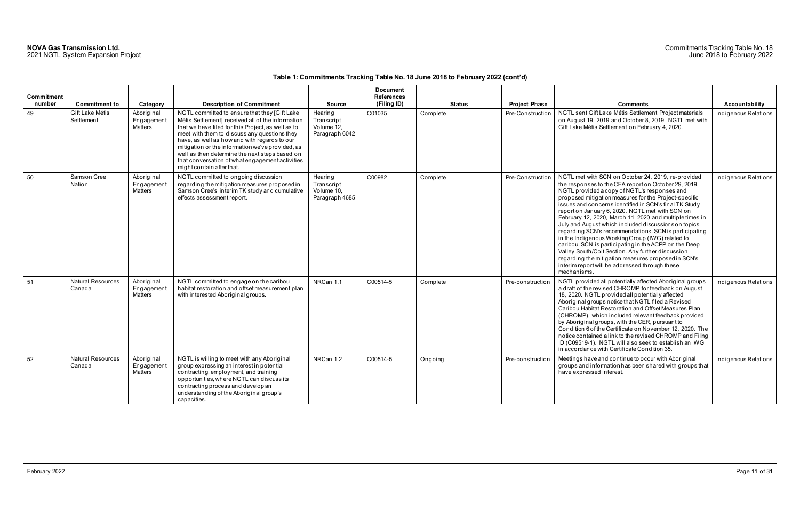### Commitments Tracking Table No. 18 June 2018 to February 2022

| Commitment |                                    |                                            |                                                                                                                                                                                                                                                                                                                                                                                                                                                |                                                       | <b>Document</b><br><b>References</b> |               |                      |                                                                                                                                                                                                                                                                                                                                                                                                                                                                                                                                                                                                                                                                                                                                                                                                        |                      |
|------------|------------------------------------|--------------------------------------------|------------------------------------------------------------------------------------------------------------------------------------------------------------------------------------------------------------------------------------------------------------------------------------------------------------------------------------------------------------------------------------------------------------------------------------------------|-------------------------------------------------------|--------------------------------------|---------------|----------------------|--------------------------------------------------------------------------------------------------------------------------------------------------------------------------------------------------------------------------------------------------------------------------------------------------------------------------------------------------------------------------------------------------------------------------------------------------------------------------------------------------------------------------------------------------------------------------------------------------------------------------------------------------------------------------------------------------------------------------------------------------------------------------------------------------------|----------------------|
| number     | <b>Commitment to</b>               | Category                                   | <b>Description of Commitment</b>                                                                                                                                                                                                                                                                                                                                                                                                               | <b>Source</b>                                         | (Filing ID)                          | <b>Status</b> | <b>Project Phase</b> | <b>Comments</b>                                                                                                                                                                                                                                                                                                                                                                                                                                                                                                                                                                                                                                                                                                                                                                                        | Accountability       |
| 49         | Gift Lake Métis<br>Settlement      | Aboriginal<br>Engagement<br><b>Matters</b> | NGTL committed to ensure that they [Gift Lake<br>Métis Settlement] received all of the information<br>that we have filed for this Project, as well as to<br>meet with them to discuss any questions they<br>have, as well as how and with regards to our<br>mitigation or the information we've provided, as<br>well as then determine the next steps based on<br>that conversation of what engagement activities<br>might contain after that. | Hearing<br>Transcript<br>Volume 12,<br>Paragraph 6042 | C01035                               | Complete      | Pre-Construction     | NGTL sent Gift Lake Métis Settlement Project materials<br>on August 19, 2019 and October 8, 2019. NGTL met with<br>Gift Lake Métis Settlement on February 4, 2020.                                                                                                                                                                                                                                                                                                                                                                                                                                                                                                                                                                                                                                     | Indigenous Relations |
| 50         | Samson Cree<br>Nation              | Aboriginal<br>Engagement<br>Matters        | NGTL committed to ongoing discussion<br>regarding the mitigation measures proposed in<br>Samson Cree's interim TK study and cumulative<br>effects assessment report.                                                                                                                                                                                                                                                                           | Hearing<br>Transcript<br>Volume 10,<br>Paragraph 4685 | C00982                               | Complete      | Pre-Construction     | NGTL met with SCN on October 24, 2019, re-provided<br>the responses to the CEA report on October 29, 2019.<br>NGTL provided a copy of NGTL's responses and<br>proposed mitigation measures for the Project-specific<br>issues and concerns identified in SCN's final TK Study<br>report on January 6, 2020. NGTL met with SCN on<br>February 12, 2020, March 11, 2020 and multiple times in<br>July and August which included discussions on topics<br>regarding SCN's recommendations. SCN is participating<br>in the Indigenous Working Group (IWG) related to<br>caribou. SCN is participating in the ACPP on the Deep<br>Valley South/Colt Section. Any further discussion<br>regarding the mitigation measures proposed in SCN's<br>interim report will be addressed through these<br>mechanisms. | Indigenous Relations |
| 51         | <b>Natural Resources</b><br>Canada | Aboriginal<br>Engagement<br>Matters        | NGTL committed to engage on the caribou<br>habitat restoration and offset measurement plan<br>with interested Aboriginal groups.                                                                                                                                                                                                                                                                                                               | NRCan 1.1                                             | C00514-5                             | Complete      | Pre-construction     | NGTL provided all potentially affected Aboriginal groups<br>a draft of the revised CHROMP for feedback on August<br>18, 2020. NGTL provided all potentially affected<br>Aboriginal groups notice that NGTL filed a Revised<br>Caribou Habitat Restoration and Offset Measures Plan<br>(CHROMP), which included relevant feedback provided<br>by Aboriginal groups, with the CER, pursuant to<br>Condition 6 of the Certificate on November 12, 2020. The<br>notice contained a link to the revised CHROMP and Filing<br>ID (C09519-1). NGTL will also seek to establish an IWG<br>in accordance with Certificate Condition 35.                                                                                                                                                                         | Indigenous Relations |
| 52         | <b>Natural Resources</b><br>Canada | Aboriginal<br>Engagement<br><b>Matters</b> | NGTL is willing to meet with any Aboriginal<br>group expressing an interest in potential<br>contracting, employment, and training<br>opportunities, where NGTL can discuss its<br>contracting process and develop an<br>understanding of the Aboriginal group's<br>capacities.                                                                                                                                                                 | NRCan 1.2                                             | C00514-5                             | Ongoing       | Pre-construction     | Meetings have and continue to occur with Aboriginal<br>groups and information has been shared with groups that<br>have expressed interest.                                                                                                                                                                                                                                                                                                                                                                                                                                                                                                                                                                                                                                                             | Indigenous Relations |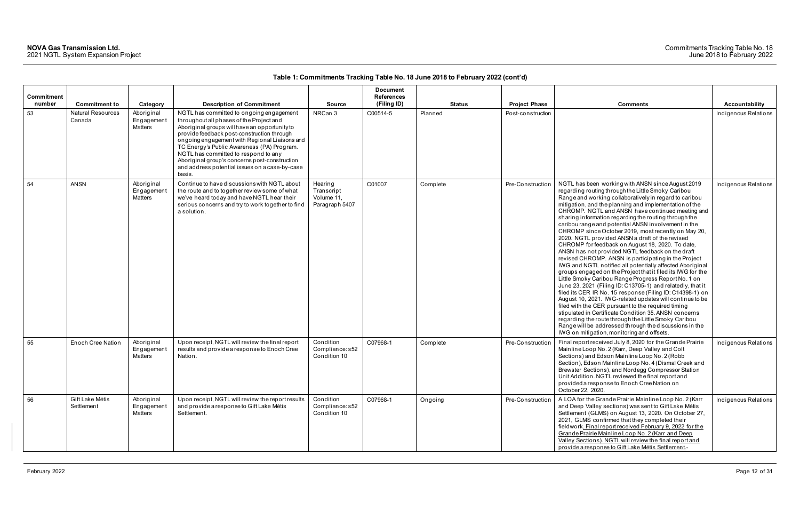### Commitments Tracking Table No. 18 June 2018 to February 2022

| <b>Commitment</b><br>number | <b>Commitment to</b>               |                                                 | <b>Description of Commitment</b>                                                                                                                                                                                                                                                                                                                                                                                                        | <b>Source</b>                                         | <b>Document</b><br><b>References</b><br>(Filing ID) | Status   | <b>Project Phase</b> | <b>Comments</b>                                                                                                                                                                                                                                                                                                                                                                                                                                                                                                                                                                                                                                                                                                                                                                                                                                                                                                                                                                                                                                                                                                                                                                                                                                                                                                                    | Accountability       |
|-----------------------------|------------------------------------|-------------------------------------------------|-----------------------------------------------------------------------------------------------------------------------------------------------------------------------------------------------------------------------------------------------------------------------------------------------------------------------------------------------------------------------------------------------------------------------------------------|-------------------------------------------------------|-----------------------------------------------------|----------|----------------------|------------------------------------------------------------------------------------------------------------------------------------------------------------------------------------------------------------------------------------------------------------------------------------------------------------------------------------------------------------------------------------------------------------------------------------------------------------------------------------------------------------------------------------------------------------------------------------------------------------------------------------------------------------------------------------------------------------------------------------------------------------------------------------------------------------------------------------------------------------------------------------------------------------------------------------------------------------------------------------------------------------------------------------------------------------------------------------------------------------------------------------------------------------------------------------------------------------------------------------------------------------------------------------------------------------------------------------|----------------------|
| 53                          | <b>Natural Resources</b><br>Canada | Category<br>Aboriginal<br>Engagement<br>Matters | NGTL has committed to ongoing engagement<br>throughout all phases of the Project and<br>Aboriginal groups will have an opportunity to<br>provide feedback post-construction through<br>ongoing engagement with Regional Liaisons and<br>TC Energy's Public Awareness (PA) Program.<br>NGTL has committed to respond to any<br>Aboriginal group's concerns post-construction<br>and address potential issues on a case-by-case<br>basis. | NRCan 3                                               | C00514-5                                            | Planned  | Post-construction    |                                                                                                                                                                                                                                                                                                                                                                                                                                                                                                                                                                                                                                                                                                                                                                                                                                                                                                                                                                                                                                                                                                                                                                                                                                                                                                                                    | Indigenous Relations |
| 54                          | <b>ANSN</b>                        | Aboriginal<br>Engagement<br>Matters             | Continue to have discussions with NGTL about<br>the route and to together review some of what<br>we've heard today and have NGTL hear their<br>serious concerns and try to work together to find<br>a solution.                                                                                                                                                                                                                         | Hearing<br>Transcript<br>Volume 11,<br>Paragraph 5407 | C01007                                              | Complete | Pre-Construction     | NGTL has been working with ANSN since August 2019<br>regarding routing through the Little Smoky Caribou<br>Range and working collaboratively in regard to caribou<br>mitigation, and the planning and implementation of the<br>CHROMP. NGTL and ANSN have continued meeting and<br>sharing information regarding the routing through the<br>caribou range and potential ANSN involvement in the<br>CHROMP since October 2019, most recently on May 20,<br>2020. NGTL provided ANSN a draft of the revised<br>CHROMP for feedback on August 18, 2020. To date,<br>ANSN has not provided NGTL feedback on the draft<br>revised CHROMP. ANSN is participating in the Project<br>IWG and NGTL notified all potentially affected Aboriginal<br>groups engaged on the Project that it filed its IWG for the<br>Little Smoky Caribou Range Progress Report No. 1 on<br>June 23, 2021 (Filing ID: C13705-1) and relatedly, that it<br>filed its CER IR No. 15 response (Filing ID: C14398-1) on<br>August 10, 2021. IWG-related updates will continue to be<br>filed with the CER pursuant to the required timing<br>stipulated in Certificate Condition 35. ANSN concerns<br>regarding the route through the Little Smoky Caribou<br>Range will be addressed through the discussions in the<br>IWG on mitigation, monitoring and offsets. | Indigenous Relations |
| 55                          | <b>Enoch Cree Nation</b>           | Aboriginal<br>Engagemen<br>Matters              | Upon receipt, NGTL will review the final report<br>results and provide a response to Enoch Cree<br>Nation.                                                                                                                                                                                                                                                                                                                              | Condition<br>Compliance: s52<br>Condition 10          | C07968-1                                            | Complete | Pre-Construction     | Final report received July 8, 2020 for the Grande Prairie<br>Mainline Loop No. 2 (Karr, Deep Valley and Colt<br>Sections) and Edson Mainline Loop No. 2 (Robb<br>Section), Edson Mainline Loop No. 4 (Dismal Creek and<br>Brewster Sections), and Nordegg Compressor Station<br>Unit Addition. NGTL reviewed the final report and<br>provided a response to Enoch Cree Nation on<br>October 22, 2020.                                                                                                                                                                                                                                                                                                                                                                                                                                                                                                                                                                                                                                                                                                                                                                                                                                                                                                                              | Indigenous Relations |
| 56                          | Gift Lake Métis<br>Settlement      | Aboriginal<br>Engagement<br>Matters             | Upon receipt, NGTL will review the report results<br>and provide a response to Gift Lake Métis<br>Settlement.                                                                                                                                                                                                                                                                                                                           | Condition<br>Compliance: s52<br>Condition 10          | C07968-1                                            | Ongoing  | Pre-Construction     | A LOA for the Grande Prairie Mainline Loop No. 2 (Karr<br>and Deep Valley sections) was sent to Gift Lake Métis<br>Settlement (GLMS) on August 13, 2020. On October 27,<br>2021, GLMS confirmed that they completed their<br>fieldwork. Final report received February 9, 2022 for the<br>Grande Prairie Mainline Loop No. 2 (Karr and Deep<br>Valley Sections). NGTL will review the final report and<br>provide a response to Gift Lake Métis Settlement.                                                                                                                                                                                                                                                                                                                                                                                                                                                                                                                                                                                                                                                                                                                                                                                                                                                                        | Indigenous Relations |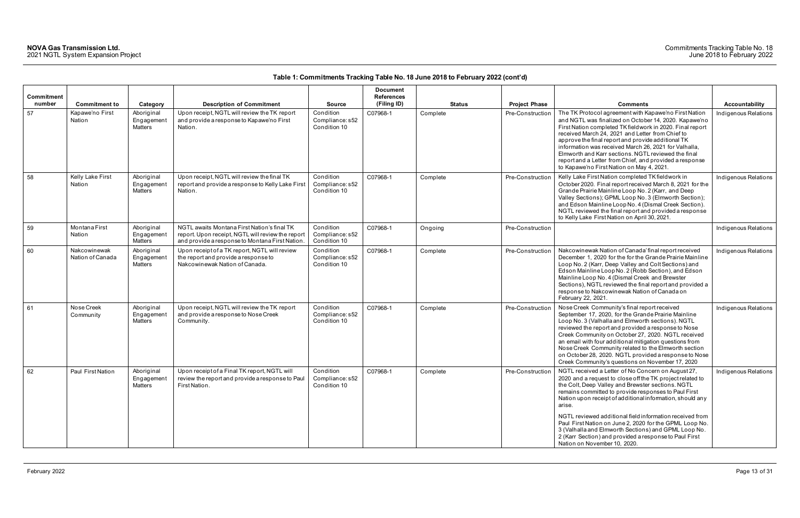| Commitment<br>number | <b>Commitment to</b>             | Category                                   | <b>Description of Commitment</b>                                                                                                                    | <b>Source</b>                                | <b>Document</b><br><b>References</b><br>(Filing ID) | <b>Status</b> | <b>Project Phase</b> | <b>Comments</b>                                                                                                                                                                                                                                                                                                                                                                                                                                                                                                                                                              | <b>Accountability</b> |
|----------------------|----------------------------------|--------------------------------------------|-----------------------------------------------------------------------------------------------------------------------------------------------------|----------------------------------------------|-----------------------------------------------------|---------------|----------------------|------------------------------------------------------------------------------------------------------------------------------------------------------------------------------------------------------------------------------------------------------------------------------------------------------------------------------------------------------------------------------------------------------------------------------------------------------------------------------------------------------------------------------------------------------------------------------|-----------------------|
| 57                   | Kapawe'no First<br>Nation        | Aboriginal<br>Engagement<br><b>Matters</b> | Upon receipt, NGTL will review the TK report<br>and provide a response to Kapawe'no First<br>Nation.                                                | Condition<br>Compliance: s52<br>Condition 10 | C07968-1                                            | Complete      | Pre-Construction     | The TK Protocol agreement with Kapawe'no First Nation<br>and NGTL was finalized on October 14, 2020. Kapawe'no<br>First Nation completed TK fieldwork in 2020. Final report<br>received March 24, 2021 and Letter from Chief to<br>approve the final report and provide additional TK<br>information was received March 26, 2021 for Valhalla,<br>Elmworth and Karr sections. NGTL reviewed the final<br>report and a Letter from Chief, and provided a response<br>to Kapawe'no First Nation on May 4, 2021.                                                                | Indigenous Relations  |
| 58                   | Kelly Lake First<br>Nation       | Aboriginal<br>Engagement<br><b>Matters</b> | Upon receipt, NGTL will review the final TK<br>report and provide a response to Kelly Lake First<br>Nation.                                         | Condition<br>Compliance: s52<br>Condition 10 | C07968-1                                            | Complete      | Pre-Construction     | Kelly Lake First Nation completed TK fieldwork in<br>October 2020. Final report received March 8, 2021 for the<br>Grande Prairie Mainline Loop No. 2 (Karr, and Deep<br>Valley Sections); GPML Loop No. 3 (Elmworth Section);<br>and Edson Mainline Loop No. 4 (Dismal Creek Section).<br>NGTL reviewed the final report and provided a response<br>to Kelly Lake First Nation on April 30, 2021.                                                                                                                                                                            | Indigenous Relations  |
| 59                   | Montana First<br>Nation          | Aboriginal<br>Engagement<br><b>Matters</b> | NGTL awaits Montana First Nation's final TK<br>report. Upon receipt, NGTL will review the report<br>and provide a response to Montana First Nation. | Condition<br>Compliance: s52<br>Condition 10 | C07968-1                                            | Ongoing       | Pre-Construction     |                                                                                                                                                                                                                                                                                                                                                                                                                                                                                                                                                                              | Indigenous Relations  |
| 60                   | Nakcowinewak<br>Nation of Canada | Aboriginal<br>Engagement<br><b>Matters</b> | Upon receipt of a TK report, NGTL will review<br>the report and provide a response to<br>Nakcowinewak Nation of Canada.                             | Condition<br>Compliance: s52<br>Condition 10 | C07968-1                                            | Complete      | Pre-Construction     | Nakcowinewak Nation of Canada' final report received<br>December 1, 2020 for the for the Grande Prairie Mainline<br>Loop No. 2 (Karr, Deep Valley and Colt Sections) and<br>Edson Mainline Loop No. 2 (Robb Section), and Edson<br>Mainline Loop No. 4 (Dismal Creek and Brewster<br>Sections), NGTL reviewed the final report and provided a<br>response to Nakcowinewak Nation of Canada on<br>February 22, 2021.                                                                                                                                                          | Indigenous Relations  |
| 61                   | Nose Creek<br>Community          | Aboriginal<br>Engagement<br><b>Matters</b> | Upon receipt, NGTL will review the TK report<br>and provide a response to Nose Creek<br>Community.                                                  | Condition<br>Compliance: s52<br>Condition 10 | C07968-1                                            | Complete      | Pre-Construction     | Nose Creek Community's final report received<br>September 17, 2020, for the Grande Prairie Mainline<br>Loop No. 3 (Valhalla and Elmworth sections). NGTL<br>reviewed the report and provided a response to Nose<br>Creek Community on October 27, 2020. NGTL received<br>an email with four additional mitigation questions from<br>Nose Creek Community related to the Elmworth section<br>on October 28, 2020. NGTL provided a response to Nose<br>Creek Community's questions on November 17, 2020                                                                        | Indigenous Relations  |
| 62                   | Paul First Nation                | Aboriginal<br>Engagement<br>Matters        | Upon receipt of a Final TK report, NGTL will<br>review the report and provide a response to Paul<br>First Nation.                                   | Condition<br>Compliance: s52<br>Condition 10 | C07968-1                                            | Complete      | Pre-Construction     | NGTL received a Letter of No Concern on August 27,<br>2020 and a request to close off the TK project related to<br>the Colt, Deep Valley and Brewster sections. NGTL<br>remains committed to provide responses to Paul First<br>Nation upon receipt of additional information, should any<br>arise.<br>NGTL reviewed additional field information received from<br>Paul First Nation on June 2, 2020 for the GPML Loop No.<br>3 (Valhalla and Elmworth Sections) and GPML Loop No.<br>2 (Karr Section) and provided a response to Paul First<br>Nation on November 10, 2020. | Indigenous Relations  |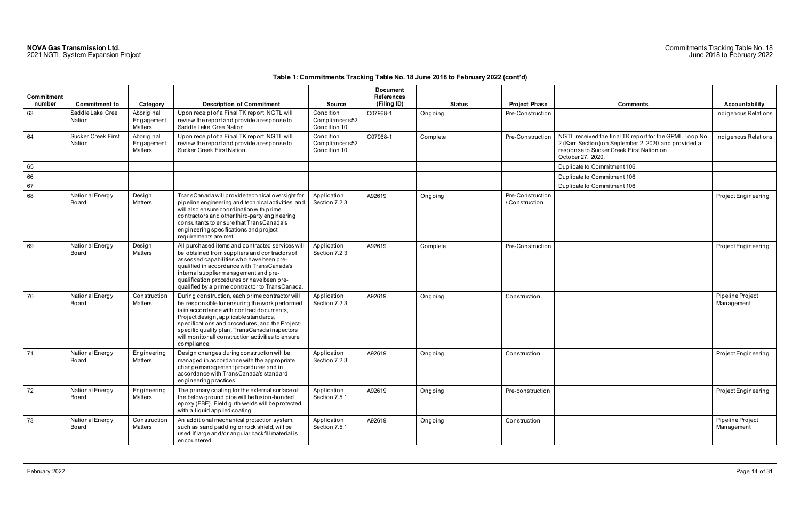| Commitment |                                     |                                            |                                                                                                                                                                                                                                                                                                                                                                  |                                              | <b>Document</b><br><b>References</b> |               |                                    |                                                                                                                                                                                  |                                |
|------------|-------------------------------------|--------------------------------------------|------------------------------------------------------------------------------------------------------------------------------------------------------------------------------------------------------------------------------------------------------------------------------------------------------------------------------------------------------------------|----------------------------------------------|--------------------------------------|---------------|------------------------------------|----------------------------------------------------------------------------------------------------------------------------------------------------------------------------------|--------------------------------|
| number     | <b>Commitment to</b>                | Category                                   | <b>Description of Commitment</b>                                                                                                                                                                                                                                                                                                                                 | <b>Source</b>                                | (Filing ID)                          | <b>Status</b> | <b>Project Phase</b>               | <b>Comments</b>                                                                                                                                                                  | Accountability                 |
| 63         | Saddle Lake Cree<br>Nation          | Aboriginal<br>Engagement<br>Matters        | Upon receipt of a Final TK report, NGTL will<br>review the report and provide a response to<br>Saddle Lake Cree Nation                                                                                                                                                                                                                                           | Condition<br>Compliance: s52<br>Condition 10 | C07968-1                             | Ongoing       | Pre-Construction                   |                                                                                                                                                                                  | Indigenous Relations           |
| 64         | <b>Sucker Creek First</b><br>Nation | Aboriginal<br>Engagement<br><b>Matters</b> | Upon receipt of a Final TK report, NGTL will<br>review the report and provide a response to<br>Sucker Creek First Nation.                                                                                                                                                                                                                                        | Condition<br>Compliance: s52<br>Condition 10 | C07968-1                             | Complete      | Pre-Construction                   | NGTL received the final TK report for the GPML Loop No.<br>2 (Karr Section) on September 2, 2020 and provided a<br>response to Sucker Creek First Nation on<br>October 27, 2020. | Indigenous Relations           |
| 65         |                                     |                                            |                                                                                                                                                                                                                                                                                                                                                                  |                                              |                                      |               |                                    | Duplicate to Commitment 106.                                                                                                                                                     |                                |
| 66         |                                     |                                            |                                                                                                                                                                                                                                                                                                                                                                  |                                              |                                      |               |                                    | Duplicate to Commitment 106.                                                                                                                                                     |                                |
| 67         |                                     |                                            |                                                                                                                                                                                                                                                                                                                                                                  |                                              |                                      |               |                                    | Duplicate to Commitment 106.                                                                                                                                                     |                                |
| 68         | National Energy<br>Board            | Design<br><b>Matters</b>                   | TransCanada will provide technical oversight for<br>pipeline engineering and technical activities, and<br>will also ensure coordination with prime<br>contractors and other third-party engineering<br>consultants to ensure that TransCanada's<br>engineering specifications and project<br>requirements are met.                                               | Application<br>Section 7.2.3                 | A92619                               | Ongoing       | Pre-Construction<br>/ Construction |                                                                                                                                                                                  | Project Engineering            |
| 69         | National Energy<br>Board            | Design<br>Matters                          | All purchased items and contracted services will<br>be obtained from suppliers and contractors of<br>assessed capabilities who have been pre-<br>qualified in accordance with TransCanada's<br>internal supplier management and pre-<br>qualification procedures or have been pre-<br>qualified by a prime contractor to TransCanada.                            | Application<br>Section 7.2.3                 | A92619                               | Complete      | Pre-Construction                   |                                                                                                                                                                                  | Project Engineering            |
| 70         | National Energy<br>Board            | Construction<br>Matters                    | During construction, each prime contractor will<br>be responsible for ensuring the work performed<br>is in accordance with contract documents,<br>Project design, applicable standards,<br>specifications and procedures, and the Project-<br>specific quality plan. TransCanada inspectors<br>will monitor all construction activities to ensure<br>compliance. | Application<br>Section 7.2.3                 | A92619                               | Ongoing       | Construction                       |                                                                                                                                                                                  | Pipeline Project<br>Management |
| 71         | National Energy<br>Board            | Engineering<br>Matters                     | Design changes during construction will be<br>managed in accordance with the appropriate<br>change management procedures and in<br>accordance with TransCanada's standard<br>engineering practices.                                                                                                                                                              | Application<br>Section 7.2.3                 | A92619                               | Ongoing       | Construction                       |                                                                                                                                                                                  | Project Engineering            |
| 72         | National Energy<br>Board            | Engineering<br>Matters                     | The primary coating for the external surface of<br>the below ground pipe will be fusion-bonded<br>epoxy (FBE). Field girth welds will be protected<br>with a liquid applied coating                                                                                                                                                                              | Application<br>Section 7.5.1                 | A92619                               | Ongoing       | Pre-construction                   |                                                                                                                                                                                  | Project Engineering            |
| 73         | National Energy<br>Board            | Construction<br>Matters                    | An additional mechanical protection system,<br>such as sand padding or rock shield, will be<br>used if large and/or angular backfill material is<br>encountered.                                                                                                                                                                                                 | Application<br>Section 7.5.1                 | A92619                               | Ongoing       | Construction                       |                                                                                                                                                                                  | Pipeline Project<br>Management |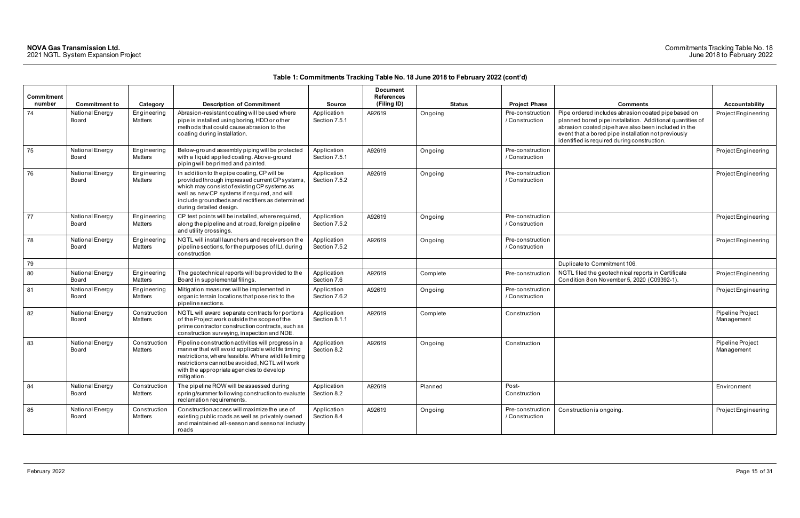### Commitments Tracking Table No. 18 June 2018 to February 2022

| <b>Commitment</b><br>number | <b>Commitment to</b>     | Category                | <b>Description of Commitment</b>                                                                                                                                                                                                                                             | <b>Source</b>                | <b>Document</b><br><b>References</b><br>(Filing ID) | <b>Status</b> | <b>Project Phase</b>               | <b>Comments</b>                                                                                                                                                                                                                                                               | Accountability                 |
|-----------------------------|--------------------------|-------------------------|------------------------------------------------------------------------------------------------------------------------------------------------------------------------------------------------------------------------------------------------------------------------------|------------------------------|-----------------------------------------------------|---------------|------------------------------------|-------------------------------------------------------------------------------------------------------------------------------------------------------------------------------------------------------------------------------------------------------------------------------|--------------------------------|
| 74                          | National Energy<br>Board | Engineering<br>Matters  | Abrasion-resistant coating will be used where<br>pipe is installed using boring, HDD or other<br>methods that could cause abrasion to the<br>coating during installation.                                                                                                    | Application<br>Section 7.5.1 | A92619                                              | Ongoing       | Pre-construction<br>/ Construction | Pipe ordered includes abrasion coated pipe based on<br>planned bored pipe installation. Additional quantities of<br>abrasion coated pipe have also been included in the<br>event that a bored pipe installation not previously<br>identified is required during construction. | Project Engineerin             |
| 75                          | National Energy<br>Board | Engineering<br>Matters  | Below-ground assembly piping will be protected<br>with a liquid applied coating. Above-ground<br>piping will be primed and painted.                                                                                                                                          | Application<br>Section 7.5.1 | A92619                                              | Ongoing       | Pre-construction<br>/ Construction |                                                                                                                                                                                                                                                                               | Project Engineerin             |
| 76                          | National Energy<br>Board | Engineering<br>Matters  | In addition to the pipe coating, CP will be<br>provided through impressed current CP systems,<br>which may consist of existing CP systems as<br>well as new CP systems if required, and will<br>include groundbeds and rectifiers as determined<br>during detailed design.   | Application<br>Section 7.5.2 | A92619                                              | Ongoing       | Pre-construction<br>/ Construction |                                                                                                                                                                                                                                                                               | Project Engineerin             |
| 77                          | National Energy<br>Board | Engineering<br>Matters  | CP test points will be installed, where required<br>along the pipeline and at road, foreign pipeline<br>and utility crossings.                                                                                                                                               | Application<br>Section 7.5.2 | A92619                                              | Ongoing       | Pre-construction<br>/ Construction |                                                                                                                                                                                                                                                                               | Project Engineerin             |
| 78                          | National Energy<br>Board | Engineering<br>Matters  | NGTL will install launchers and receivers on the<br>pipeline sections, for the purposes of ILI, during<br>construction                                                                                                                                                       | Application<br>Section 7.5.2 | A92619                                              | Ongoing       | Pre-construction<br>/ Construction |                                                                                                                                                                                                                                                                               | Project Engineerin             |
| 79                          |                          |                         |                                                                                                                                                                                                                                                                              |                              |                                                     |               |                                    | Duplicate to Commitment 106.                                                                                                                                                                                                                                                  |                                |
| 80                          | National Energy<br>Board | Engineering<br>Matters  | The geotechnical reports will be provided to the<br>Board in supplemental filings.                                                                                                                                                                                           | Application<br>Section 7.6   | A92619                                              | Complete      | Pre-construction                   | NGTL filed the geotechnical reports in Certificate<br>Condition 8 on November 5, 2020 (C09392-1).                                                                                                                                                                             | Project Engineerin             |
| 81                          | National Energy<br>Board | Engineering<br>Matters  | Mitigation measures will be implemented in<br>organic terrain locations that pose risk to the<br>pipeline sections.                                                                                                                                                          | Application<br>Section 7.6.2 | A92619                                              | Ongoing       | Pre-construction<br>/ Construction |                                                                                                                                                                                                                                                                               | Project Engineerin             |
| 82                          | National Energy<br>Board | Construction<br>Matters | NGTL will award separate contracts for portions<br>of the Project work outside the scope of the<br>prime contractor construction contracts, such as<br>construction surveying, inspection and NDE.                                                                           | Application<br>Section 8.1.1 | A92619                                              | Complete      | Construction                       |                                                                                                                                                                                                                                                                               | Pipeline Project<br>Management |
| 83                          | National Energy<br>Board | Construction<br>Matters | Pipeline construction activities will progress in a<br>manner that will avoid applicable wildlife timing<br>restrictions, where feasible. Where wildlife timing<br>restrictions cannot be avoided, NGTL will work<br>with the appropriate agencies to develop<br>mitigation. | Application<br>Section 8.2   | A92619                                              | Ongoing       | Construction                       |                                                                                                                                                                                                                                                                               | Pipeline Project<br>Management |
| 84                          | National Energy<br>Board | Construction<br>Matters | The pipeline ROW will be assessed during<br>spring/summer following construction to evaluate<br>reclamation requirements.                                                                                                                                                    | Application<br>Section 8.2   | A92619                                              | Planned       | Post-<br>Construction              |                                                                                                                                                                                                                                                                               | Environment                    |
| 85                          | National Energy<br>Board | Construction<br>Matters | Construction access will maximize the use of<br>existing public roads as well as privately owned<br>and maintained all-season and seasonal industry<br>roads                                                                                                                 | Application<br>Section 8.4   | A92619                                              | Ongoing       | Pre-construction<br>/ Construction | Construction is ongoing.                                                                                                                                                                                                                                                      | Project Engineerin             |

| Comments                                                                                                                                                                                                                                                                      | <b>Accountability</b>          |
|-------------------------------------------------------------------------------------------------------------------------------------------------------------------------------------------------------------------------------------------------------------------------------|--------------------------------|
| Pipe ordered includes abrasion coated pipe based on<br>planned bored pipe installation. Additional quantities of<br>abrasion coated pipe have also been included in the<br>event that a bored pipe installation not previously<br>identified is required during construction. | Project Engineering            |
|                                                                                                                                                                                                                                                                               | Project Engineering            |
|                                                                                                                                                                                                                                                                               | Project Engineering            |
|                                                                                                                                                                                                                                                                               | Project Engineering            |
|                                                                                                                                                                                                                                                                               | Project Engineering            |
| Duplicate to Commitment 106.                                                                                                                                                                                                                                                  |                                |
| NGTL filed the geotechnical reports in Certificate<br>Condition 8 on November 5, 2020 (C09392-1).                                                                                                                                                                             | Project Engineering            |
|                                                                                                                                                                                                                                                                               | Project Engineering            |
|                                                                                                                                                                                                                                                                               | Pipeline Project<br>Management |
|                                                                                                                                                                                                                                                                               | Pipeline Project<br>Management |
|                                                                                                                                                                                                                                                                               | Environment                    |
| Construction is ongoing.                                                                                                                                                                                                                                                      | Project Engineering            |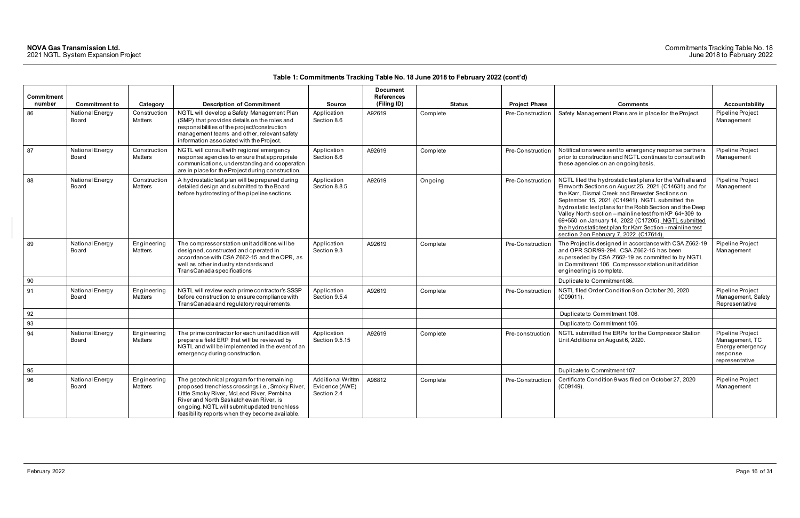|                             |                          |                                |                                                                                                                                                                                                                                                                                          |                                                            | <b>Document</b>                  |               |                      |                                                                                                                                                                                                                                                                                                                                                                                                                                                                                                                 |                                                                                      |
|-----------------------------|--------------------------|--------------------------------|------------------------------------------------------------------------------------------------------------------------------------------------------------------------------------------------------------------------------------------------------------------------------------------|------------------------------------------------------------|----------------------------------|---------------|----------------------|-----------------------------------------------------------------------------------------------------------------------------------------------------------------------------------------------------------------------------------------------------------------------------------------------------------------------------------------------------------------------------------------------------------------------------------------------------------------------------------------------------------------|--------------------------------------------------------------------------------------|
| <b>Commitment</b><br>number | <b>Commitment to</b>     | Category                       | <b>Description of Commitment</b>                                                                                                                                                                                                                                                         | <b>Source</b>                                              | <b>References</b><br>(Filing ID) | <b>Status</b> | <b>Project Phase</b> | <b>Comments</b>                                                                                                                                                                                                                                                                                                                                                                                                                                                                                                 | <b>Accountability</b>                                                                |
| 86                          | National Energy<br>Board | Construction<br>Matters        | NGTL will develop a Safety Management Plan<br>(SMP) that provides details on the roles and<br>responsibilities of the project/construction<br>management teams and other, relevant safety<br>information associated with the Project.                                                    | Application<br>Section 8.6                                 | A92619                           | Complete      | Pre-Construction     | Safety Management Plans are in place for the Project.                                                                                                                                                                                                                                                                                                                                                                                                                                                           | Pipeline Project<br>Management                                                       |
| 87                          | National Energy<br>Board | Construction<br>Matters        | NGTL will consult with regional emergency<br>response agencies to ensure that appropriate<br>communications, understanding and cooperation<br>are in place for the Project during construction.                                                                                          | Application<br>Section 8.6                                 | A92619                           | Complete      | Pre-Construction     | Notifications were sent to emergency response partners<br>prior to construction and NGTL continues to consult with<br>these agencies on an ongoing basis.                                                                                                                                                                                                                                                                                                                                                       | Pipeline Project<br>Management                                                       |
| 88                          | National Energy<br>Board | Construction<br><b>Matters</b> | A hydrostatic test plan will be prepared during<br>detailed design and submitted to the Board<br>before hydrotesting of the pipeline sections.                                                                                                                                           | Application<br>Section 8.8.5                               | A92619                           | Ongoing       | Pre-Construction     | NGTL filed the hydrostatic test plans for the Valhalla and<br>Elmworth Sections on August 25, 2021 (C14631) and for<br>the Karr, Dismal Creek and Brewster Sections on<br>September 15, 2021 (C14941). NGTL submitted the<br>hydrostatic test plans for the Robb Section and the Deep<br>Valley North section - mainline test from KP 64+309 to<br>69+550 on January 14, 2022 (C17205). NGTL submitted<br>the hydrostatic test plan for Karr Section - mainline test<br>section 2 on February 7, 2022 (C17614). | Pipeline Project<br>Management                                                       |
| 89                          | National Energy<br>Board | Engineering<br>Matters         | The compressor station unit additions will be<br>designed, constructed and operated in<br>accordance with CSA Z662-15 and the OPR, as<br>well as other industry standards and<br><b>TransCanada specifications</b>                                                                       | Application<br>Section 9.3                                 | A92619                           | Complete      | Pre-Construction     | The Project is designed in accordance with CSA Z662-19<br>and OPR SOR/99-294. CSA Z662-15 has been<br>superseded by CSA Z662-19 as committed to by NGTL<br>in Commitment 106. Compressor station unit addition<br>engineering is complete.                                                                                                                                                                                                                                                                      | Pipeline Project<br>Management                                                       |
| 90                          |                          |                                |                                                                                                                                                                                                                                                                                          |                                                            |                                  |               |                      | Duplicate to Commitment 86.                                                                                                                                                                                                                                                                                                                                                                                                                                                                                     |                                                                                      |
| 91                          | National Energy<br>Board | Engineering<br><b>Matters</b>  | NGTL will review each prime contractor's SSSP<br>before construction to ensure compliance with<br>TransCanada and regulatory requirements.                                                                                                                                               | Application<br>Section 9.5.4                               | A92619                           | Complete      | Pre-Construction     | NGTL filed Order Condition 9 on October 20, 2020<br>(C09011).                                                                                                                                                                                                                                                                                                                                                                                                                                                   | Pipeline Project<br>Management, Safety<br>Representative                             |
| 92                          |                          |                                |                                                                                                                                                                                                                                                                                          |                                                            |                                  |               |                      | Duplicate to Commitment 106.                                                                                                                                                                                                                                                                                                                                                                                                                                                                                    |                                                                                      |
| 93                          |                          |                                |                                                                                                                                                                                                                                                                                          |                                                            |                                  |               |                      | Duplicate to Commitment 106.                                                                                                                                                                                                                                                                                                                                                                                                                                                                                    |                                                                                      |
| 94                          | National Energy<br>Board | Engineering<br>Matters         | The prime contractor for each unit addition will<br>prepare a field ERP that will be reviewed by<br>NGTL and will be implemented in the event of an<br>emergency during construction.                                                                                                    | Application<br>Section 9.5.15                              | A92619                           | Complete      | Pre-construction     | NGTL submitted the ERPs for the Compressor Station<br>Unit Additions on August 6, 2020.                                                                                                                                                                                                                                                                                                                                                                                                                         | Pipeline Project<br>Management, TC<br>Energy emergency<br>response<br>representative |
| 95                          |                          |                                |                                                                                                                                                                                                                                                                                          |                                                            |                                  |               |                      | Duplicate to Commitment 107.                                                                                                                                                                                                                                                                                                                                                                                                                                                                                    |                                                                                      |
| 96                          | National Energy<br>Board | Engineering<br>Matters         | The geotechnical program for the remaining<br>proposed trenchless crossings i.e., Smoky River,<br>Little Smoky River, McLeod River, Pembina<br>River and North Saskatchewan River, is<br>ongoing. NGTL will submit updated trenchless<br>feasibility reports when they become available. | <b>Additional Written</b><br>Evidence (AWE)<br>Section 2.4 | A96812                           | Complete      | Pre-Construction     | Certificate Condition 9 was filed on October 27, 2020<br>$(C09149)$ .                                                                                                                                                                                                                                                                                                                                                                                                                                           | Pipeline Project<br>Management                                                       |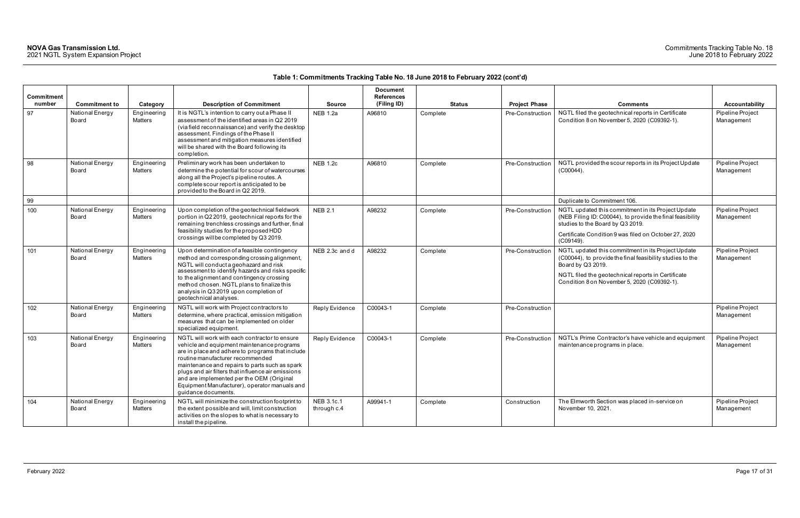| Commitment<br>number | <b>Commitment to</b>     | Category                      | <b>Description of Commitment</b>                                                                                                                                                                                                                                                                                                                                                                                 | <b>Source</b>             | <b>Document</b><br><b>References</b><br>(Filing ID) | <b>Status</b> | <b>Project Phase</b> | <b>Comments</b>                                                                                                                                                                                                                           | Accountability                 |
|----------------------|--------------------------|-------------------------------|------------------------------------------------------------------------------------------------------------------------------------------------------------------------------------------------------------------------------------------------------------------------------------------------------------------------------------------------------------------------------------------------------------------|---------------------------|-----------------------------------------------------|---------------|----------------------|-------------------------------------------------------------------------------------------------------------------------------------------------------------------------------------------------------------------------------------------|--------------------------------|
| 97                   | National Energy<br>Board | Engineering<br>Matters        | It is NGTL's intention to carry out a Phase II<br>assessment of the identified areas in Q2 2019<br>(via field reconnaissance) and verify the desktop<br>assessment. Findings of the Phase II<br>assessment and mitigation measures identified<br>will be shared with the Board following its<br>completion.                                                                                                      | <b>NEB 1.2a</b>           | A96810                                              | Complete      | Pre-Construction     | NGTL filed the geotechnical reports in Certificate<br>Condition 8 on November 5, 2020 (C09392-1).                                                                                                                                         | Pipeline Project<br>Management |
| 98                   | National Energy<br>Board | Engineering<br><b>Matters</b> | Preliminary work has been undertaken to<br>determine the potential for scour of watercourses<br>along all the Project's pipeline routes. A<br>complete scour report is anticipated to be<br>provided to the Board in Q2 2019.                                                                                                                                                                                    | <b>NEB 1.2c</b>           | A96810                                              | Complete      | Pre-Construction     | NGTL provided the scour reports in its Project Update<br>$(C00044)$ .                                                                                                                                                                     | Pipeline Project<br>Management |
| 99                   |                          |                               |                                                                                                                                                                                                                                                                                                                                                                                                                  |                           |                                                     |               |                      | Duplicate to Commitment 106.                                                                                                                                                                                                              |                                |
| 100                  | National Energy<br>Board | Engineering<br>Matters        | Upon completion of the geotechnical fieldwork<br>portion in Q2 2019, geotechnical reports for the<br>remaining trenchless crossings and further, final<br>feasibility studies for the proposed HDD<br>crossings will be completed by Q3 2019.                                                                                                                                                                    | <b>NEB 2.1</b>            | A98232                                              | Complete      | Pre-Construction     | NGTL updated this commitment in its Project Update<br>(NEB Filing ID: C00044), to provide the final feasibility<br>studies to the Board by Q3 2019.<br>Certificate Condition 9 was filed on October 27, 2020<br>(C09149).                 | Pipeline Project<br>Management |
| 101                  | National Energy<br>Board | Engineering<br>Matters        | Upon determination of a feasible contingency<br>method and corresponding crossing alignment,<br>NGTL will conduct a geohazard and risk<br>assessment to identify hazards and risks specific<br>to the alignment and contingency crossing<br>method chosen. NGTL plans to finalize this<br>analysis in Q3 2019 upon completion of<br>geotechnical analyses.                                                       | NEB 2.3c and d            | A98232                                              | Complete      | Pre-Construction     | NGTL updated this commitment in its Project Update<br>(C00044), to provide the final feasibility studies to the<br>Board by Q3 2019.<br>NGTL filed the geotechnical reports in Certificate<br>Condition 8 on November 5, 2020 (C09392-1). | Pipeline Project<br>Management |
| 102                  | National Energy<br>Board | Engineering<br>Matters        | NGTL will work with Project contractors to<br>determine, where practical, emission mitigation<br>measures that can be implemented on older<br>specialized equipment.                                                                                                                                                                                                                                             | Reply Evidence            | C00043-1                                            | Complete      | Pre-Construction     |                                                                                                                                                                                                                                           | Pipeline Project<br>Management |
| 103                  | National Energy<br>Board | Engineering<br>Matters        | NGTL will work with each contractor to ensure<br>vehicle and equipment maintenance programs<br>are in place and adhere to programs that include<br>routine manufacturer recommended<br>maintenance and repairs to parts such as spark<br>plugs and air filters that influence air emissions<br>and are implemented per the OEM (Original<br>Equipment Manufacturer), operator manuals and<br>quidance documents. | Reply Evidence            | C00043-1                                            | Complete      | Pre-Construction     | NGTL's Prime Contractor's have vehicle and equipment<br>maintenance programs in place.                                                                                                                                                    | Pipeline Project<br>Management |
| 104                  | National Energy<br>Board | Engineering<br>Matters        | NGTL will minimize the construction footprint to<br>the extent possible and will, limit construction<br>activities on the slopes to what is necessary to<br>install the pipeline.                                                                                                                                                                                                                                | NEB 3.1c.1<br>through c.4 | A99941-1                                            | Complete      | Construction         | The Elmworth Section was placed in-service on<br>November 10, 2021.                                                                                                                                                                       | Pipeline Project<br>Management |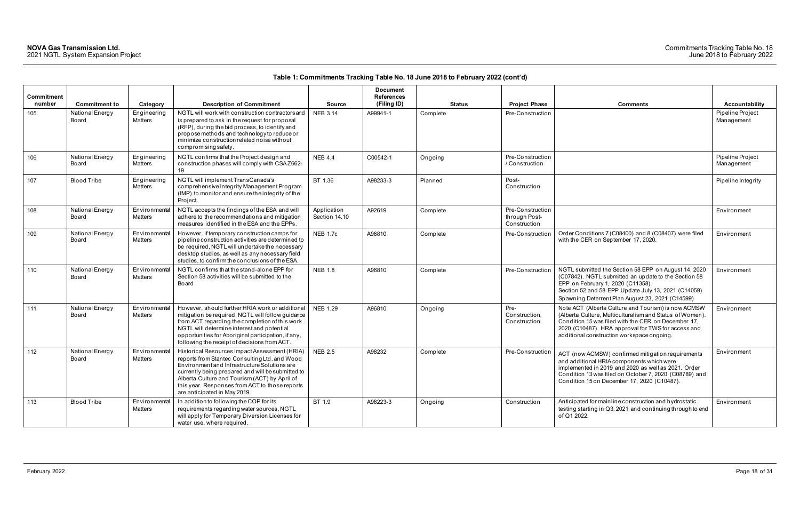| <b>Commitment</b><br>number | <b>Commitment to</b>     | Category                 | <b>Description of Commitment</b>                                                                                                                                                                                                                                                                                                      | <b>Source</b>                | <b>Document</b><br><b>References</b><br>(Filing ID) | <b>Status</b> | <b>Project Phase</b>                              | <b>Comments</b>                                                                                                                                                                                                                                                            | Accountability                 |
|-----------------------------|--------------------------|--------------------------|---------------------------------------------------------------------------------------------------------------------------------------------------------------------------------------------------------------------------------------------------------------------------------------------------------------------------------------|------------------------------|-----------------------------------------------------|---------------|---------------------------------------------------|----------------------------------------------------------------------------------------------------------------------------------------------------------------------------------------------------------------------------------------------------------------------------|--------------------------------|
| 105                         | National Energy<br>Board | Engineering<br>Matters   | NGTL will work with construction contractors and<br>is prepared to ask in the request for proposal<br>(RFP), during the bid process, to identify and<br>propose methods and technology to reduce or<br>minimize construction related noise without<br>compromising safety.                                                            | <b>NEB 3.14</b>              | A99941-1                                            | Complete      | Pre-Construction                                  |                                                                                                                                                                                                                                                                            | Pipeline Project<br>Management |
| 106                         | National Energy<br>Board | Engineering<br>Matters   | NGTL confirms that the Project design and<br>construction phases will comply with CSAZ662-<br>19.                                                                                                                                                                                                                                     | <b>NEB 4.4</b>               | C00542-1                                            | Ongoing       | Pre-Construction<br>/ Construction                |                                                                                                                                                                                                                                                                            | Pipeline Project<br>Management |
| 107                         | <b>Blood Tribe</b>       | Engineering<br>Matters   | NGTL will implement TransCanada's<br>comprehensive Integrity Management Program<br>(IMP) to monitor and ensure the integrity of the<br>Project.                                                                                                                                                                                       | BT 1.36                      | A98233-3                                            | Planned       | Post-<br>Construction                             |                                                                                                                                                                                                                                                                            | Pipeline Integrity             |
| 108                         | National Energy<br>Board | Environmental<br>Matters | NGTL accepts the findings of the ESA and will<br>adhere to the recommendations and mitigation<br>measures identified in the ESA and the EPPs.                                                                                                                                                                                         | Application<br>Section 14.10 | A92619                                              | Complete      | Pre-Construction<br>through Post-<br>Construction |                                                                                                                                                                                                                                                                            | Environment                    |
| 109                         | National Energy<br>Board | Environmental<br>Matters | However, if temporary construction camps for<br>pipeline construction activities are determined to<br>be required, NGTL will undertake the necessary<br>desktop studies, as well as any necessary field<br>studies, to confirm the conclusions of the ESA.                                                                            | <b>NEB 1.7c</b>              | A96810                                              | Complete      | Pre-Construction                                  | Order Conditions 7 (C08400) and 8 (C08407) were filed<br>with the CER on September 17, 2020.                                                                                                                                                                               | Environment                    |
| 110                         | National Energy<br>Board | Environmental<br>Matters | NGTL confirms that the stand-alone EPP for<br>Section 58 activities will be submitted to the<br>Board                                                                                                                                                                                                                                 | <b>NEB 1.8</b>               | A96810                                              | Complete      | Pre-Construction                                  | NGTL submitted the Section 58 EPP on August 14, 2020<br>(C07842). NGTL submitted an update to the Section 58<br>EPP on February 1, 2020 (C11358).<br>Section 52 and 58 EPP Update July 13, 2021 (C14059)<br>Spawning Deterrent Plan August 23, 2021 (C14599)               | Environment                    |
| 111                         | National Energy<br>Board | Environmental<br>Matters | However, should further HRIA work or additional<br>mitigation be required, NGTL will follow guidance<br>from ACT regarding the completion of this work.<br>NGTL will determine interest and potential<br>opportunities for Aboriginal participation, if any,<br>following the receipt of decisions from ACT.                          | <b>NEB 1.29</b>              | A96810                                              | Ongoing       | Pre-<br>Construction,<br>Construction             | Note ACT (Alberta Culture and Tourism) is now ACMSW<br>(Alberta Culture, Multiculturalism and Status of Women).<br>Condition 15 was filed with the CER on December 17,<br>2020 (C10487). HRA approval for TWS for access and<br>additional construction workspace ongoing. | Environment                    |
| 112                         | National Energy<br>Board | Environmental<br>Matters | Historical Resources Impact Assessment (HRIA<br>reports from Stantec Consulting Ltd. and Wood<br>Environment and Infrastructure Solutions are<br>currently being prepared and will be submitted to<br>Alberta Culture and Tourism (ACT) by April of<br>this year. Responses from ACT to those reports<br>are anticipated in May 2019. | <b>NEB 2.5</b>               | A98232                                              | Complete      | Pre-Construction                                  | ACT (now ACMSW) confirmed mitigation requirements<br>and additional HRIA components which were<br>implemented in 2019 and 2020 as well as 2021. Order<br>Condition 13 was filed on October 7, 2020 (C08789) and<br>Condition 15 on December 17, 2020 (C10487).             | Environment                    |
| 113                         | <b>Blood Tribe</b>       | Environmental<br>Matters | In addition to following the COP for its<br>requirements regarding water sources, NGTL<br>will apply for Temporary Diversion Licenses for<br>water use, where required.                                                                                                                                                               | BT 1.9                       | A98223-3                                            | Ongoing       | Construction                                      | Anticipated for mainline construction and hydrostatic<br>testing starting in Q3, 2021 and continuing through to end<br>of Q1 2022.                                                                                                                                         | Environment                    |

| Comments                                                                                                                                                                                                                                                                   | Accountability                 |
|----------------------------------------------------------------------------------------------------------------------------------------------------------------------------------------------------------------------------------------------------------------------------|--------------------------------|
|                                                                                                                                                                                                                                                                            | Pipeline Project<br>Management |
|                                                                                                                                                                                                                                                                            | Pipeline Project<br>Management |
|                                                                                                                                                                                                                                                                            | Pipeline Integrity             |
|                                                                                                                                                                                                                                                                            | Environment                    |
| Order Conditions 7 (C08400) and 8 (C08407) were filed<br>with the CER on September 17, 2020.                                                                                                                                                                               | Environment                    |
| NGTL submitted the Section 58 EPP on August 14, 2020<br>(C07842). NGTL submitted an update to the Section 58<br>EPP on February 1, 2020 (C11358).<br>Section 52 and 58 EPP Update July 13, 2021 (C14059)<br>Spawning Deterrent Plan August 23, 2021 (C14599)               | Environment                    |
| Note ACT (Alberta Culture and Tourism) is now ACMSW<br>(Alberta Culture, Multiculturalism and Status of Women).<br>Condition 15 was filed with the CER on December 17,<br>2020 (C10487). HRA approval for TWS for access and<br>additional construction workspace ongoing. | Environment                    |
| ACT (now ACMSW) confirmed mitigation requirements<br>and additional HRIA components which were<br>implemented in 2019 and 2020 as well as 2021. Order<br>Condition 13 was filed on October 7, 2020 (C08789) and<br>Condition 15 on December 17, 2020 (C10487).             | Environment                    |
| Anticipated for mainline construction and hydrostatic<br>testing starting in Q3, 2021 and continuing through to end<br>of Q1 2022.                                                                                                                                         | Environment                    |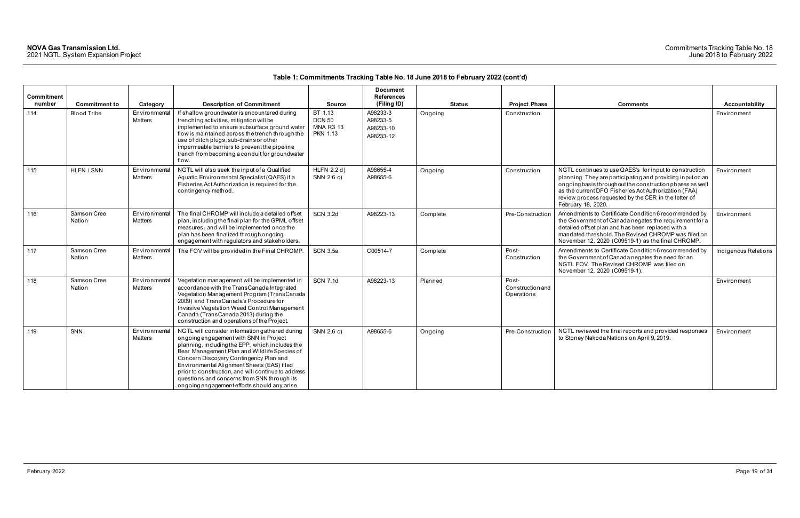### Commitments Tracking Table No. 18 June 2018 to February 2022

| <b>Commitment</b><br>number | <b>Commitment to</b>  | Category                        | <b>Description of Commitment</b>                                                                                                                                                                                                                                                                                                                                                                                                          | <b>Source</b>                                                   | <b>Document</b><br><b>References</b><br>(Filing ID) | <b>Status</b> | <b>Project Phase</b>                    | <b>Comments</b>                                                                                                                                                                                                                                                                                                        | <b>Accountability</b> |
|-----------------------------|-----------------------|---------------------------------|-------------------------------------------------------------------------------------------------------------------------------------------------------------------------------------------------------------------------------------------------------------------------------------------------------------------------------------------------------------------------------------------------------------------------------------------|-----------------------------------------------------------------|-----------------------------------------------------|---------------|-----------------------------------------|------------------------------------------------------------------------------------------------------------------------------------------------------------------------------------------------------------------------------------------------------------------------------------------------------------------------|-----------------------|
| 114                         | <b>Blood Tribe</b>    | Environmental<br>Matters        | If shallow groundwater is encountered during<br>trenching activities, mitigation will be<br>implemented to ensure subsurface ground water<br>flow is maintained across the trench through the<br>use of ditch plugs, sub-drains or other<br>impermeable barriers to prevent the pipeline<br>trench from becoming a conduit for groundwater<br>flow.                                                                                       | BT 1.13<br><b>DCN 50</b><br><b>MNA R3 13</b><br><b>PKN 1.13</b> | A98233-3<br>A98233-5<br>A98233-10<br>A98233-12      | Ongoing       | Construction                            |                                                                                                                                                                                                                                                                                                                        | Environment           |
| 115                         | HLFN / SNN            | Environmental<br>Matters        | NGTL will also seek the input of a Qualified<br>Aquatic Environmental Specialist (QAES) if a<br>Fisheries Act Authorization is required for the<br>contingency method.                                                                                                                                                                                                                                                                    | <b>HLFN 2.2 d)</b><br>SNN 2.6 c)                                | A98655-4<br>A98655-6                                | Ongoing       | Construction                            | NGTL continues to use QAES's for input to construction<br>planning. They are participating and providing input on an<br>ongoing basis throughout the construction phases as well<br>as the current DFO Fisheries Act Authorization (FAA)<br>review process requested by the CER in the letter of<br>February 18, 2020. | Environment           |
| 116                         | Samson Cree<br>Nation | Environmental<br><b>Matters</b> | The final CHROMP will include a detailed offset<br>plan, including the final plan for the GPML offset<br>measures, and will be implemented once the<br>plan has been finalized through ongoing<br>engagement with regulators and stakeholders.                                                                                                                                                                                            | <b>SCN 3.2d</b>                                                 | A98223-13                                           | Complete      | Pre-Construction                        | Amendments to Certificate Condition 6 recommended by<br>the Government of Canada negates the requirement for a<br>detailed offset plan and has been replaced with a<br>mandated threshold. The Revised CHROMP was filed on<br>November 12, 2020 (C09519-1) as the final CHROMP.                                        | Environment           |
| 117                         | Samson Cree<br>Nation | Environmental<br>Matters        | The FOV will be provided in the Final CHROMP.                                                                                                                                                                                                                                                                                                                                                                                             | <b>SCN 3.5a</b>                                                 | C00514-7                                            | Complete      | Post-<br>Construction                   | Amendments to Certificate Condition 6 recommended by<br>the Government of Canada negates the need for an<br>NGTL FOV. The Revised CHROMP was filed on<br>November 12, 2020 (C09519-1).                                                                                                                                 | Indigenous Relations  |
| 118                         | Samson Cree<br>Nation | Environmental<br>Matters        | Vegetation management will be implemented in<br>accordance with the TransCanada Integrated<br>Vegetation Management Program (TransCanada<br>2009) and TransCanada's Procedure for<br>Invasive Vegetation Weed Control Management<br>Canada (TransCanada 2013) during the<br>construction and operations of the Project.                                                                                                                   | <b>SCN 7.1d</b>                                                 | A98223-13                                           | Planned       | Post-<br>Construction and<br>Operations |                                                                                                                                                                                                                                                                                                                        | Environment           |
| 119                         | SNN                   | Environmental<br>Matters        | NGTL will consider information gathered during<br>ongoing engagement with SNN in Project<br>planning, including the EPP, which includes the<br>Bear Management Plan and Wildlife Species of<br>Concern Discovery Contingency Plan and<br>Environmental Alignment Sheets (EAS) filed<br>prior to construction, and will continue to address<br>questions and concerns from SNN through its<br>ongoing engagement efforts should any arise. | SNN 2.6 c)                                                      | A98655-6                                            | Ongoing       | Pre-Construction                        | NGTL reviewed the final reports and provided responses<br>to Stoney Nakoda Nations on April 9, 2019.                                                                                                                                                                                                                   | Environment           |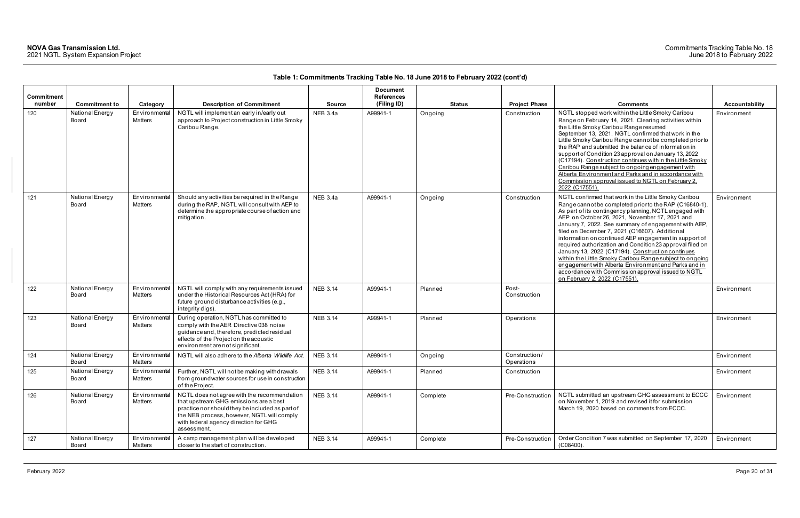|                             |                          |                                 |                                                                                                                                                                                                                                                |                 | <b>Document</b>                  |               |                             |                                                                                                                                                                                                                                                                                                                                                                                                                                                                                                                                                                                                                                                                                                                            |                |
|-----------------------------|--------------------------|---------------------------------|------------------------------------------------------------------------------------------------------------------------------------------------------------------------------------------------------------------------------------------------|-----------------|----------------------------------|---------------|-----------------------------|----------------------------------------------------------------------------------------------------------------------------------------------------------------------------------------------------------------------------------------------------------------------------------------------------------------------------------------------------------------------------------------------------------------------------------------------------------------------------------------------------------------------------------------------------------------------------------------------------------------------------------------------------------------------------------------------------------------------------|----------------|
| <b>Commitment</b><br>number | <b>Commitment to</b>     | Category                        | <b>Description of Commitment</b>                                                                                                                                                                                                               | <b>Source</b>   | <b>References</b><br>(Filing ID) | <b>Status</b> | <b>Project Phase</b>        | <b>Comments</b>                                                                                                                                                                                                                                                                                                                                                                                                                                                                                                                                                                                                                                                                                                            | Accountability |
| 120                         | National Energy<br>Board | Environmental<br><b>Matters</b> | NGTL will implement an early in/early out<br>approach to Project construction in Little Smoky<br>Caribou Range.                                                                                                                                | <b>NEB 3.4a</b> | A99941-1                         | Ongoing       | Construction                | NGTL stopped work within the Little Smoky Caribou<br>Range on February 14, 2021. Clearing activities within<br>the Little Smoky Caribou Range resumed<br>September 13, 2021. NGTL confirmed that work in the<br>Little Smoky Caribou Range cannot be completed prior to<br>the RAP and submitted the balance of information in<br>support of Condition 23 approval on January 13, 2022<br>(C17194). Construction continues within the Little Smoky<br>Caribou Range subject to ongoing engagement with<br>Alberta Environment and Parks and in accordance with<br>Commission approval issued to NGTL on February 2.<br>2022 (C17551).                                                                                      | Environment    |
| 121                         | National Energy<br>Board | Environmental<br><b>Matters</b> | Should any activities be required in the Range<br>during the RAP, NGTL will consult with AEP to<br>determine the appropriate course of action and<br>mitigation.                                                                               | NEB 3.4a        | A99941-1                         | Ongoing       | Construction                | NGTL confirmed that work in the Little Smoky Caribou<br>Range cannot be completed prior to the RAP (C16840-1).<br>As part of its contingency planning, NGTL engaged with<br>AEP on October 26, 2021, November 17, 2021 and<br>January 7, 2022. See summary of engagement with AEP,<br>filed on December 7, 2021 (C16607). Additional<br>information on continued AEP engagement in support of<br>required authorization and Condition 23 approval filed on<br>January 13, 2022 (C17194). Construction continues<br>within the Little Smoky Caribou Range subject to ongoing<br>engagement with Alberta Environment and Parks and in<br>accordance with Commission approval issued to NGTL<br>on February 2, 2022 (C17551). | Environment    |
| 122                         | National Energy<br>Board | Environmental<br><b>Matters</b> | NGTL will comply with any requirements issued<br>under the Historical Resources Act (HRA) for<br>future ground disturbance activities (e.g.,<br>integrity digs).                                                                               | <b>NEB 3.14</b> | A99941-1                         | Planned       | Post-<br>Construction       |                                                                                                                                                                                                                                                                                                                                                                                                                                                                                                                                                                                                                                                                                                                            | Environment    |
| 123                         | National Energy<br>Board | Environmental<br>Matters        | During operation, NGTL has committed to<br>comply with the AER Directive 038 noise<br>guidance and, therefore, predicted residual<br>effects of the Project on the acoustic<br>environment are not significant.                                | <b>NEB 3.14</b> | A99941-1                         | Planned       | Operations                  |                                                                                                                                                                                                                                                                                                                                                                                                                                                                                                                                                                                                                                                                                                                            | Environment    |
| 124                         | National Energy<br>Board | Environmental<br><b>Matters</b> | NGTL will also adhere to the Alberta Wildlife Act.                                                                                                                                                                                             | <b>NEB 3.14</b> | A99941-1                         | Ongoing       | Construction/<br>Operations |                                                                                                                                                                                                                                                                                                                                                                                                                                                                                                                                                                                                                                                                                                                            | Environment    |
| 125                         | National Energy<br>Board | Matters                         | Environmental Further, NGTL will not be making withdrawals<br>from groundwater sources for use in construction<br>of the Project.                                                                                                              | <b>NEB 3.14</b> | A99941-1                         | Planned       | Construction                |                                                                                                                                                                                                                                                                                                                                                                                                                                                                                                                                                                                                                                                                                                                            | Environment    |
| 126                         | National Energy<br>Board | Environmental<br>Matters        | NGTL does not agree with the recommendation<br>that upstream GHG emissions are a best<br>practice nor should they be included as part of<br>the NEB process, however, NGTL will comply<br>with federal agency direction for GHG<br>assessment. | <b>NEB 3.14</b> | A99941-1                         | Complete      | Pre-Construction            | NGTL submitted an upstream GHG assessment to ECCC<br>on November 1, 2019 and revised it for submission<br>March 19, 2020 based on comments from ECCC.                                                                                                                                                                                                                                                                                                                                                                                                                                                                                                                                                                      | Environment    |
| 127                         | National Energy<br>Board | Environmental<br>Matters        | A camp management plan will be developed<br>closer to the start of construction.                                                                                                                                                               | <b>NEB 3.14</b> | A99941-1                         | Complete      | Pre-Construction            | Order Condition 7 was submitted on September 17, 2020<br>$(C08400)$ .                                                                                                                                                                                                                                                                                                                                                                                                                                                                                                                                                                                                                                                      | Environment    |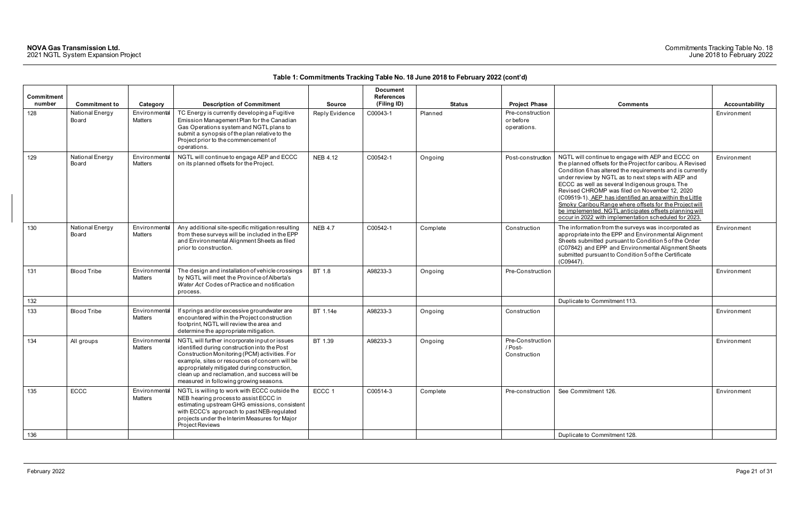### Commitments Tracking Table No. 18 June 2018 to February 2022

| Commitment<br>number | <b>Commitment to</b>     | Category                 | <b>Description of Commitment</b>                                                                                                                                                                                                                                                                                                            | <b>Source</b>   | <b>Document</b><br><b>References</b><br>(Filing ID) | <b>Status</b> | <b>Project Phase</b>                         | <b>Comments</b>                                                                                                                                                                                                                                                                                                                                                                                                                                                                                                                                                                | Accountability |
|----------------------|--------------------------|--------------------------|---------------------------------------------------------------------------------------------------------------------------------------------------------------------------------------------------------------------------------------------------------------------------------------------------------------------------------------------|-----------------|-----------------------------------------------------|---------------|----------------------------------------------|--------------------------------------------------------------------------------------------------------------------------------------------------------------------------------------------------------------------------------------------------------------------------------------------------------------------------------------------------------------------------------------------------------------------------------------------------------------------------------------------------------------------------------------------------------------------------------|----------------|
| 128                  | National Energy<br>Board | Environmental<br>Matters | TC Energy is currently developing a Fugitive<br>Emission Management Plan for the Canadian<br>Gas Operations system and NGTL plans to<br>submit a synopsis of the plan relative to the<br>Project prior to the commencement of<br>operations.                                                                                                | Reply Evidence  | C00043-1                                            | Planned       | Pre-construction<br>or before<br>operations. |                                                                                                                                                                                                                                                                                                                                                                                                                                                                                                                                                                                | Environment    |
| 129                  | National Energy<br>Board | Environmental<br>Matters | NGTL will continue to engage AEP and ECCC<br>on its planned offsets for the Project.                                                                                                                                                                                                                                                        | <b>NEB 4.12</b> | C00542-1                                            | Ongoing       | Post-construction                            | NGTL will continue to engage with AEP and ECCC on<br>the planned offsets for the Project for caribou. A Revised<br>Condition 6 has altered the requirements and is currently<br>under review by NGTL as to next steps with AEP and<br>ECCC as well as several Indigenous groups. The<br>Revised CHROMP was filed on November 12, 2020<br>(C09519-1). AEP has identified an area within the Little<br>Smoky Caribou Range where offsets for the Project will<br>be implemented. NGTL anticipates offsets planning will<br>occur in 2022 with implementation scheduled for 2023. | Environment    |
| 130                  | National Energy<br>Board | Environmental<br>Matters | Any additional site-specific mitigation resulting<br>from these surveys will be included in the EPP<br>and Environmental Alignment Sheets as filed<br>prior to construction.                                                                                                                                                                | <b>NEB 4.7</b>  | C00542-1                                            | Complete      | Construction                                 | The information from the surveys was incorporated as<br>appropriate into the EPP and Environmental Alignment<br>Sheets submitted pursuant to Condition 5 of the Order<br>(C07842) and EPP and Environmental Alignment Sheets<br>submitted pursuant to Condition 5 of the Certificate<br>(C09447).                                                                                                                                                                                                                                                                              | Environment    |
| 131                  | <b>Blood Tribe</b>       | Environmental<br>Matters | The design and installation of vehicle crossings<br>by NGTL will meet the Province of Alberta's<br>Water Act Codes of Practice and notification<br>process.                                                                                                                                                                                 | BT 1.8          | A98233-3                                            | Ongoing       | Pre-Construction                             |                                                                                                                                                                                                                                                                                                                                                                                                                                                                                                                                                                                | Environment    |
| 132                  |                          |                          |                                                                                                                                                                                                                                                                                                                                             |                 |                                                     |               |                                              | Duplicate to Commitment 113.                                                                                                                                                                                                                                                                                                                                                                                                                                                                                                                                                   |                |
| 133                  | <b>Blood Tribe</b>       | Environmental<br>Matters | If springs and/or excessive groundwater are<br>encountered within the Project construction<br>footprint, NGTL will review the area and<br>determine the appropriate mitigation.                                                                                                                                                             | BT 1.14e        | A98233-3                                            | Ongoing       | Construction                                 |                                                                                                                                                                                                                                                                                                                                                                                                                                                                                                                                                                                | Environment    |
| 134                  | All groups               | Environmental<br>Matters | NGTL will further incorporate input or issues<br>identified during construction into the Post<br>Construction Monitoring (PCM) activities. For<br>example, sites or resources of concern will be<br>appropriately mitigated during construction,<br>clean up and reclamation, and success will be<br>measured in following growing seasons. | BT 1.39         | A98233-3                                            | Ongoing       | Pre-Construction<br>/ Post-<br>Construction  |                                                                                                                                                                                                                                                                                                                                                                                                                                                                                                                                                                                | Environment    |
| 135                  | ECCC                     | Environmental<br>Matters | NGTL is willing to work with ECCC outside the<br>NEB hearing process to assist ECCC in<br>estimating upstream GHG emissions, consistent<br>with ECCC's approach to past NEB-regulated<br>projects under the Interim Measures for Major<br>Project Reviews                                                                                   | ECCC 1          | C00514-3                                            | Complete      | Pre-construction                             | See Commitment 126.                                                                                                                                                                                                                                                                                                                                                                                                                                                                                                                                                            | Environment    |
| 136                  |                          |                          |                                                                                                                                                                                                                                                                                                                                             |                 |                                                     |               |                                              | Duplicate to Commitment 128.                                                                                                                                                                                                                                                                                                                                                                                                                                                                                                                                                   |                |

| Comments                                                                                                                                                                                                                                                                                                                                                                                                                                                                                                                                                                       |                       |
|--------------------------------------------------------------------------------------------------------------------------------------------------------------------------------------------------------------------------------------------------------------------------------------------------------------------------------------------------------------------------------------------------------------------------------------------------------------------------------------------------------------------------------------------------------------------------------|-----------------------|
|                                                                                                                                                                                                                                                                                                                                                                                                                                                                                                                                                                                | <b>Accountability</b> |
|                                                                                                                                                                                                                                                                                                                                                                                                                                                                                                                                                                                | Environment           |
| NGTL will continue to engage with AEP and ECCC on<br>the planned offsets for the Project for caribou. A Revised<br>Condition 6 has altered the requirements and is currently<br>under review by NGTL as to next steps with AEP and<br>ECCC as well as several Indigenous groups. The<br>Revised CHROMP was filed on November 12, 2020<br>(C09519-1). AEP has identified an area within the Little<br>Smoky Caribou Range where offsets for the Project will<br>be implemented. NGTL anticipates offsets planning will<br>occur in 2022 with implementation scheduled for 2023. | Environment           |
| The information from the surveys was incorporated as<br>appropriate into the EPP and Environmental Alignment<br>Sheets submitted pursuant to Condition 5 of the Order<br>(C07842) and EPP and Environmental Alignment Sheets<br>submitted pursuant to Condition 5 of the Certificate<br>(C09447).                                                                                                                                                                                                                                                                              | Environment           |
|                                                                                                                                                                                                                                                                                                                                                                                                                                                                                                                                                                                | Environment           |
| Duplicate to Commitment 113.                                                                                                                                                                                                                                                                                                                                                                                                                                                                                                                                                   |                       |
|                                                                                                                                                                                                                                                                                                                                                                                                                                                                                                                                                                                | Environment           |
|                                                                                                                                                                                                                                                                                                                                                                                                                                                                                                                                                                                | Environment           |
| See Commitment 126.                                                                                                                                                                                                                                                                                                                                                                                                                                                                                                                                                            | Environment           |
| Duplicate to Commitment 128.                                                                                                                                                                                                                                                                                                                                                                                                                                                                                                                                                   |                       |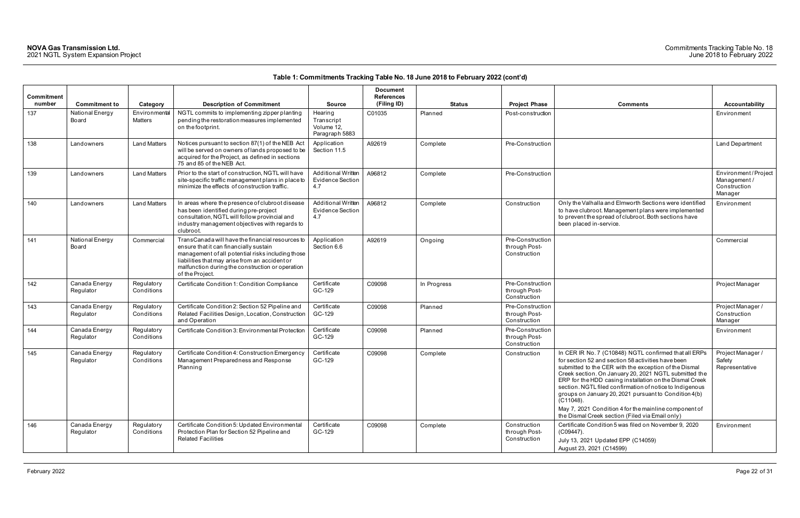### Commitments Tracking Table No. 18 June 2018 to February 2022

| Commitment<br>number | <b>Commitment to</b>       | Category                 | <b>Description of Commitment</b>                                                                                                                                                                                                                                         | <b>Source</b>                                         | <b>Document</b><br>References<br>(Filing ID) | <b>Status</b> | <b>Project Phase</b>                              | <b>Comments</b>                                                                                                                                                                                                                                                                                                                                                                                                                                                                                                                        | Accountability                                                |
|----------------------|----------------------------|--------------------------|--------------------------------------------------------------------------------------------------------------------------------------------------------------------------------------------------------------------------------------------------------------------------|-------------------------------------------------------|----------------------------------------------|---------------|---------------------------------------------------|----------------------------------------------------------------------------------------------------------------------------------------------------------------------------------------------------------------------------------------------------------------------------------------------------------------------------------------------------------------------------------------------------------------------------------------------------------------------------------------------------------------------------------------|---------------------------------------------------------------|
| 137                  | National Energy<br>Board   | Environmental<br>Matters | NGTL commits to implementing zipper planting<br>pending the restoration measures implemented<br>on the footprint.                                                                                                                                                        | Hearing<br>Transcript<br>Volume 12.<br>Paragraph 5883 | C01035                                       | Planned       | Post-construction                                 |                                                                                                                                                                                                                                                                                                                                                                                                                                                                                                                                        | Environment                                                   |
| 138                  | Landowners                 | <b>Land Matters</b>      | Notices pursuant to section 87(1) of the NEB Act<br>will be served on owners of lands proposed to be<br>acquired for the Project, as defined in sections<br>75 and 85 of the NEB Act.                                                                                    | Application<br>Section 11.5                           | A92619                                       | Complete      | Pre-Construction                                  |                                                                                                                                                                                                                                                                                                                                                                                                                                                                                                                                        | Land Department                                               |
| 139                  | Landowners                 | <b>Land Matters</b>      | Prior to the start of construction, NGTL will have<br>site-specific traffic management plans in place to<br>minimize the effects of construction traffic.                                                                                                                | <b>Additional Written</b><br>Evidence Section<br>4.7  | A96812                                       | Complete      | Pre-Construction                                  |                                                                                                                                                                                                                                                                                                                                                                                                                                                                                                                                        | Environment/Project<br>Management/<br>Construction<br>Manager |
| 140                  | Landowners                 | <b>Land Matters</b>      | In areas where the presence of clubroot disease<br>has been identified during pre-project<br>consultation, NGTL will follow provincial and<br>industry management objectives with regards to<br>clubroot.                                                                | <b>Additional Written</b><br>Evidence Section<br>4.7  | A96812                                       | Complete      | Construction                                      | Only the Valhalla and Elmworth Sections were identified<br>to have clubroot. Management plans were implemented<br>to prevent the spread of clubroot. Both sections have<br>been placed in-service.                                                                                                                                                                                                                                                                                                                                     | Environment                                                   |
| 141                  | National Energy<br>Board   | Commercial               | TransCanada will have the financial resources to<br>ensure that it can financially sustain<br>management of all potential risks including those<br>liabilities that may arise from an accident or<br>malfunction during the construction or operation<br>of the Project. | Application<br>Section 6.6                            | A92619                                       | Ongoing       | Pre-Construction<br>through Post-<br>Construction |                                                                                                                                                                                                                                                                                                                                                                                                                                                                                                                                        | Commercial                                                    |
| 142                  | Canada Energy<br>Regulator | Regulatory<br>Conditions | Certificate Condition 1: Condition Compliance                                                                                                                                                                                                                            | Certificate<br>GC-129                                 | C09098                                       | In Progress   | Pre-Construction<br>through Post-<br>Construction |                                                                                                                                                                                                                                                                                                                                                                                                                                                                                                                                        | Project Manager                                               |
| 143                  | Canada Energy<br>Regulator | Regulatory<br>Conditions | Certificate Condition 2: Section 52 Pipeline and<br>Related Facilities Design, Location, Construction<br>and Operation                                                                                                                                                   | Certificate<br>GC-129                                 | C09098                                       | Planned       | Pre-Construction<br>through Post-<br>Construction |                                                                                                                                                                                                                                                                                                                                                                                                                                                                                                                                        | Project Manager /<br>Construction<br>Manager                  |
| 144                  | Canada Energy<br>Regulator | Regulatory<br>Conditions | Certificate Condition 3: Environmental Protection                                                                                                                                                                                                                        | Certificate<br>GC-129                                 | C09098                                       | Planned       | Pre-Construction<br>through Post-<br>Construction |                                                                                                                                                                                                                                                                                                                                                                                                                                                                                                                                        | Environment                                                   |
| 145                  | Canada Energy<br>Regulator | Regulatory<br>Conditions | Certificate Condition 4: Construction Emergency<br>Management Preparedness and Response<br>Planning                                                                                                                                                                      | Certificate<br>GC-129                                 | C09098                                       | Complete      | Construction                                      | In CER IR No. 7 (C10848) NGTL confirmed that all ERPs<br>for section 52 and section 58 activities have been<br>submitted to the CER with the exception of the Dismal<br>Creek section. On January 20, 2021 NGTL submitted the<br>ERP for the HDD casing installation on the Dismal Creek<br>section. NGTL filed confirmation of notice to Indigenous<br>groups on January 20, 2021 pursuant to Condition 4(b)<br>(C11048).<br>May 7, 2021 Condition 4 for the mainline component of<br>the Dismal Creek section (Filed via Email only) | Project Manager /<br>Safety<br>Representative                 |
| 146                  | Canada Energy<br>Regulator | Regulatory<br>Conditions | Certificate Condition 5: Updated Environmental<br>Protection Plan for Section 52 Pipeline and<br><b>Related Facilities</b>                                                                                                                                               | Certificate<br>GC-129                                 | C09098                                       | Complete      | Construction<br>through Post-<br>Construction     | Certificate Condition 5 was filed on November 9, 2020<br>(C09447).<br>July 13, 2021 Updated EPP (C14059)<br>August 23, 2021 (C14599)                                                                                                                                                                                                                                                                                                                                                                                                   | Environment                                                   |

| Comments<br>Only the Valhalla and Elmworth Sections were identified                                                                                                                                                                                                                                                                                                                                                                                                                                                                    | <b>Accountability</b><br>Environment<br>Land Department<br>Environment/Project<br>Management / |
|----------------------------------------------------------------------------------------------------------------------------------------------------------------------------------------------------------------------------------------------------------------------------------------------------------------------------------------------------------------------------------------------------------------------------------------------------------------------------------------------------------------------------------------|------------------------------------------------------------------------------------------------|
|                                                                                                                                                                                                                                                                                                                                                                                                                                                                                                                                        |                                                                                                |
|                                                                                                                                                                                                                                                                                                                                                                                                                                                                                                                                        |                                                                                                |
|                                                                                                                                                                                                                                                                                                                                                                                                                                                                                                                                        |                                                                                                |
|                                                                                                                                                                                                                                                                                                                                                                                                                                                                                                                                        |                                                                                                |
|                                                                                                                                                                                                                                                                                                                                                                                                                                                                                                                                        | Construction<br>Manager                                                                        |
| to have clubroot. Management plans were implemented<br>to prevent the spread of clubroot. Both sections have<br>been placed in-service.                                                                                                                                                                                                                                                                                                                                                                                                | Environment                                                                                    |
|                                                                                                                                                                                                                                                                                                                                                                                                                                                                                                                                        | Commercial                                                                                     |
|                                                                                                                                                                                                                                                                                                                                                                                                                                                                                                                                        | Project Manager                                                                                |
|                                                                                                                                                                                                                                                                                                                                                                                                                                                                                                                                        | Project Manager /<br>Construction<br>Manager                                                   |
|                                                                                                                                                                                                                                                                                                                                                                                                                                                                                                                                        | Environment                                                                                    |
| In CER IR No. 7 (C10848) NGTL confirmed that all ERPs<br>for section 52 and section 58 activities have been<br>submitted to the CER with the exception of the Dismal<br>Creek section. On January 20, 2021 NGTL submitted the<br>ERP for the HDD casing installation on the Dismal Creek<br>section. NGTL filed confirmation of notice to Indigenous<br>groups on January 20, 2021 pursuant to Condition 4(b)<br>(C11048).<br>May 7, 2021 Condition 4 for the mainline component of<br>the Dismal Creek section (Filed via Email only) | Project Manager /<br>Safety<br>Representative                                                  |
| Certificate Condition 5 was filed on November 9, 2020<br>(C09447).<br>July 13, 2021 Updated EPP (C14059)<br>August 23, 2021 (C14599)                                                                                                                                                                                                                                                                                                                                                                                                   | Environment                                                                                    |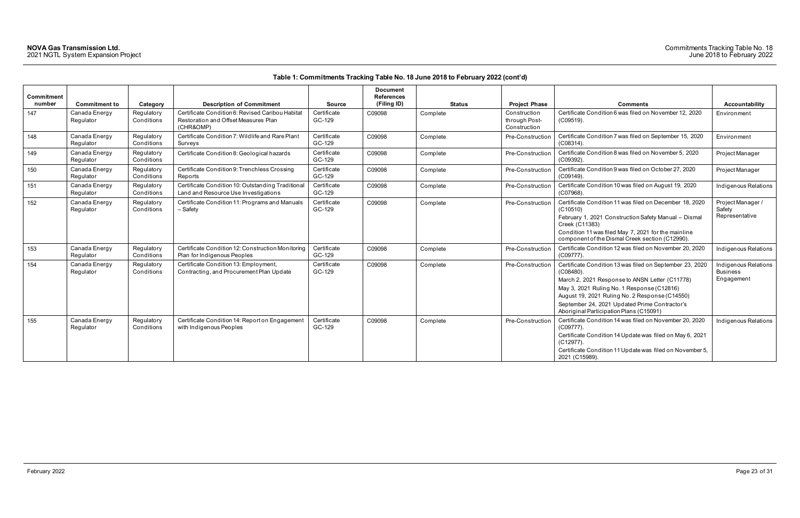| Commitment<br>number | <b>Commitment to</b>       | Category                 | <b>Description of Commitment</b>                                                                      | <b>Source</b>         | <b>Document</b><br><b>References</b><br>(Filing ID) | Status   | <b>Project Phase</b>                          | <b>Comments</b>                                                                                                                                                                                                                                                                                                        | <b>Accountability</b>                                 |
|----------------------|----------------------------|--------------------------|-------------------------------------------------------------------------------------------------------|-----------------------|-----------------------------------------------------|----------|-----------------------------------------------|------------------------------------------------------------------------------------------------------------------------------------------------------------------------------------------------------------------------------------------------------------------------------------------------------------------------|-------------------------------------------------------|
| 147                  | Canada Energy<br>Regulator | Regulatory<br>Conditions | Certificate Condition 6: Revised Caribou Habitat<br>Restoration and Offset Measures Plan<br>(CHR&OMP) | Certificate<br>GC-129 | C09098                                              | Complete | Construction<br>through Post-<br>Construction | Certificate Condition 6 was filed on November 12, 2020<br>$(C09519)$ .                                                                                                                                                                                                                                                 | Environment                                           |
| 148                  | Canada Energy<br>Regulator | Regulatory<br>Conditions | Certificate Condition 7: Wildlife and Rare Plant<br>Surveys                                           | Certificate<br>GC-129 | C09098                                              | Complete | Pre-Construction                              | Certificate Condition 7 was filed on September 15, 2020<br>(C08314)                                                                                                                                                                                                                                                    | Environment                                           |
| 149                  | Canada Energy<br>Regulator | Regulatory<br>Conditions | Certificate Condition 8: Geological hazards                                                           | Certificate<br>GC-129 | C09098                                              | Complete | Pre-Construction                              | Certificate Condition 8 was filed on November 5, 2020<br>(C09392)                                                                                                                                                                                                                                                      | Project Manager                                       |
| 150                  | Canada Energy<br>Regulator | Regulatory<br>Conditions | Certificate Condition 9: Trenchless Crossing<br>Reports                                               | Certificate<br>GC-129 | C09098                                              | Complete | Pre-Construction                              | Certificate Condition 9 was filed on October 27, 2020<br>$(C09149)$ .                                                                                                                                                                                                                                                  | Project Manager                                       |
| 151                  | Canada Energy<br>Regulator | Regulatory<br>Conditions | Certificate Condition 10: Outstanding Traditional<br>Land and Resource Use Investigations             | Certificate<br>GC-129 | C09098                                              | Complete | Pre-Construction                              | Certificate Condition 10 was filed on August 19, 2020<br>(C07968)                                                                                                                                                                                                                                                      | Indigenous Relations                                  |
| 152                  | Canada Energy<br>Regulator | Regulatory<br>Conditions | Certificate Condition 11: Programs and Manuals<br>- Safety                                            | Certificate<br>GC-129 | C09098                                              | Complete | Pre-Construction                              | Certificate Condition 11 was filed on December 18, 2020<br>(C10510)<br>February 1, 2021 Construction Safety Manual - Dismal<br>Creek (C11383)<br>Condition 11 was filed May 7, 2021 for the mainline<br>component of the Dismal Creek section (C12990).                                                                | Project Manager /<br>Safety<br>Representative         |
| 153                  | Canada Energy<br>Regulator | Regulatory<br>Conditions | Certificate Condition 12: Construction Monitoring<br>Plan for Indigenous Peoples                      | Certificate<br>GC-129 | C09098                                              | Complete | Pre-Construction                              | Certificate Condition 12 was filed on November 20, 2020<br>(C09777)                                                                                                                                                                                                                                                    | <b>Indigenous Relations</b>                           |
| 154                  | Canada Energy<br>Regulator | Regulatory<br>Conditions | Certificate Condition 13: Employment,<br>Contracting, and Procurement Plan Update                     | Certificate<br>GC-129 | C09098                                              | Complete | Pre-Construction                              | Certificate Condition 13 was filed on September 23, 2020<br>$(C08480)$ .<br>March 2, 2021 Response to ANSN Letter (C11778)<br>May 3, 2021 Ruling No. 1 Response (C12816)<br>August 19, 2021 Ruling No. 2 Response (C14550)<br>September 24, 2021 Updated Prime Contractor's<br>Aboriginal Participation Plans (C15091) | Indigenous Relations<br><b>Business</b><br>Engagement |
| 155                  | Canada Energy<br>Regulator | Regulatory<br>Conditions | Certificate Condition 14: Report on Engagement<br>with Indigenous Peoples                             | Certificate<br>GC-129 | C09098                                              | Complete | Pre-Construction                              | Certificate Condition 14 was filed on November 20, 2020<br>$(C09777)$ .<br>Certificate Condition 14 Update was filed on May 6, 2021<br>$(C12977)$ .<br>Certificate Condition 11 Update was filed on November 5,<br>2021 (C15989).                                                                                      | Indigenous Relations                                  |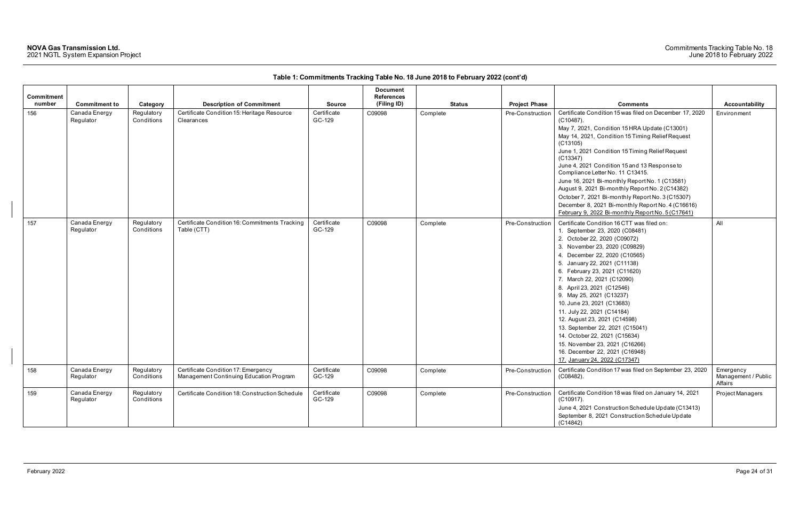|                      |                            |                          |                                                                                |                       | <b>Document</b>                  |               |                      |                                                                                                                                                                                                                                                                                                                                                                                                                                                                                                                                                                                                                |                                             |
|----------------------|----------------------------|--------------------------|--------------------------------------------------------------------------------|-----------------------|----------------------------------|---------------|----------------------|----------------------------------------------------------------------------------------------------------------------------------------------------------------------------------------------------------------------------------------------------------------------------------------------------------------------------------------------------------------------------------------------------------------------------------------------------------------------------------------------------------------------------------------------------------------------------------------------------------------|---------------------------------------------|
| Commitment<br>number |                            |                          | <b>Description of Commitment</b>                                               |                       | <b>References</b><br>(Filing ID) | <b>Status</b> | <b>Project Phase</b> | <b>Comments</b>                                                                                                                                                                                                                                                                                                                                                                                                                                                                                                                                                                                                | <b>Accountability</b>                       |
|                      | <b>Commitment to</b>       | Category                 |                                                                                | <b>Source</b>         |                                  |               |                      |                                                                                                                                                                                                                                                                                                                                                                                                                                                                                                                                                                                                                |                                             |
| 156                  | Canada Energy<br>Regulator | Regulatory<br>Conditions | Certificate Condition 15: Heritage Resource<br>Clearances                      | Certificate<br>GC-129 | C09098                           | Complete      | Pre-Construction     | Certificate Condition 15 was filed on December 17, 2020<br>$(C10487)$ .<br>May 7, 2021, Condition 15 HRA Update (C13001)<br>May 14, 2021, Condition 15 Timing Relief Request<br>(C13105)<br>June 1, 2021 Condition 15 Timing Relief Request<br>(C13347)<br>June 4, 2021 Condition 15 and 13 Response to<br>Compliance Letter No. 11 C13415.<br>June 16, 2021 Bi-monthly Report No. 1 (C13581)<br>August 9, 2021 Bi-monthly Report No. 2 (C14382)<br>October 7, 2021 Bi-monthly Report No. 3 (C15307)<br>December 8, 2021 Bi-monthly Report No. 4 (C16616)<br>February 9, 2022 Bi-monthly Report No. 5 (C17641) | Environment                                 |
| 157                  | Canada Energy<br>Regulator | Regulatory<br>Conditions | Certificate Condition 16: Commitments Tracking<br>Table (CTT)                  | Certificate<br>GC-129 | C09098                           | Complete      | Pre-Construction     | Certificate Condition 16 CTT was filed on:<br>1. September 23, 2020 (C08481)<br>2. October 22, 2020 (C09072)<br>3. November 23, 2020 (C09829)<br>4. December 22, 2020 (C10565)<br>5. January 22, 2021 (C11138)<br>6. February 23, 2021 (C11620)<br>7. March 22, 2021 (C12090)<br>8. April 23, 2021 (C12546)<br>9. May 25, 2021 (C13237)<br>10. June 23, 2021 (C13683)<br>11. July 22, 2021 (C14184)<br>12. August 23, 2021 (C14598)<br>13. September 22, 2021 (C15041)<br>14. October 22, 2021 (C15634)<br>15. November 23, 2021 (C16266)<br>16. December 22, 2021 (C16948)<br>17. January 24, 2022 (C17347)   | All                                         |
| 158                  | Canada Energy<br>Regulator | Regulatory<br>Conditions | Certificate Condition 17: Emergency<br>Management Continuing Education Program | Certificate<br>GC-129 | C09098                           | Complete      | Pre-Construction     | Certificate Condition 17 was filed on September 23, 2020<br>(C08482).                                                                                                                                                                                                                                                                                                                                                                                                                                                                                                                                          | Emergency<br>Management / Public<br>Affairs |
| 159                  | Canada Energy<br>Regulator | Regulatory<br>Conditions | Certificate Condition 18: Construction Schedule                                | Certificate<br>GC-129 | C09098                           | Complete      | Pre-Construction     | Certificate Condition 18 was filed on January 14, 2021<br>$(C10917)$ .<br>June 4, 2021 Construction Schedule Update (C13413)<br>September 8, 2021 Construction Schedule Update<br>(C14842)                                                                                                                                                                                                                                                                                                                                                                                                                     | Project Managers                            |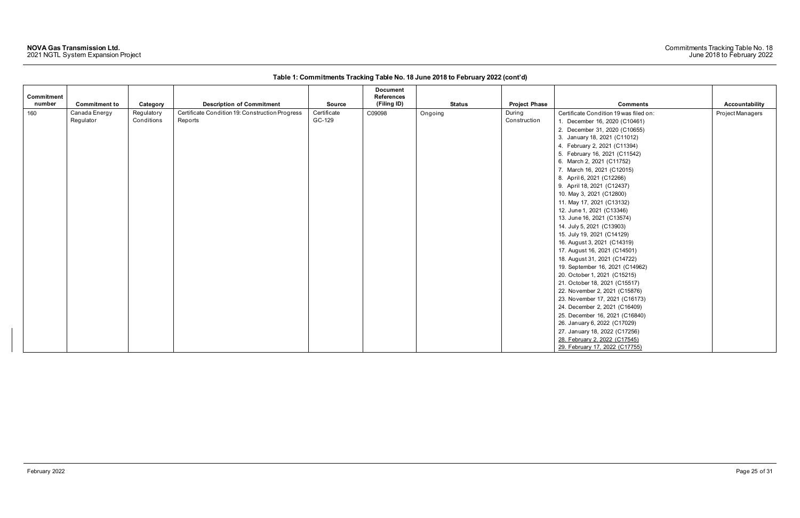| Commitment<br>number | <b>Commitment to</b> | Category   | <b>Description of Commitment</b>                | <b>Source</b> | <b>Document</b><br><b>References</b><br>(Filing ID) | <b>Status</b> | <b>Project Phase</b> | <b>Comments</b>                        | Accountability   |
|----------------------|----------------------|------------|-------------------------------------------------|---------------|-----------------------------------------------------|---------------|----------------------|----------------------------------------|------------------|
| 160                  | Canada Energy        | Regulatory | Certificate Condition 19: Construction Progress | Certificate   | C09098                                              | Ongoing       | During               | Certificate Condition 19 was filed on: | Project Managers |
|                      | Regulator            | Conditions | Reports                                         | GC-129        |                                                     |               | Construction         | 1. December 16, 2020 (C10461)          |                  |
|                      |                      |            |                                                 |               |                                                     |               |                      | 2. December 31, 2020 (C10655)          |                  |
|                      |                      |            |                                                 |               |                                                     |               |                      | 3. January 18, 2021 (C11012)           |                  |
|                      |                      |            |                                                 |               |                                                     |               |                      | 4. February 2, 2021 (C11394)           |                  |
|                      |                      |            |                                                 |               |                                                     |               |                      | 5. February 16, 2021 (C11542)          |                  |
|                      |                      |            |                                                 |               |                                                     |               |                      | 6. March 2, 2021 (C11752)              |                  |
|                      |                      |            |                                                 |               |                                                     |               |                      | 7. March 16, 2021 (C12015)             |                  |
|                      |                      |            |                                                 |               |                                                     |               |                      | 8. April 6, 2021 (C12266)              |                  |
|                      |                      |            |                                                 |               |                                                     |               |                      | 9. April 18, 2021 (C12437)             |                  |
|                      |                      |            |                                                 |               |                                                     |               |                      | 10. May 3, 2021 (C12800)               |                  |
|                      |                      |            |                                                 |               |                                                     |               |                      | 11. May 17, 2021 (C13132)              |                  |
|                      |                      |            |                                                 |               |                                                     |               |                      | 12. June 1, 2021 (C13346)              |                  |
|                      |                      |            |                                                 |               |                                                     |               |                      | 13. June 16, 2021 (C13574)             |                  |
|                      |                      |            |                                                 |               |                                                     |               |                      | 14. July 5, 2021 (C13903)              |                  |
|                      |                      |            |                                                 |               |                                                     |               |                      | 15. July 19, 2021 (C14129)             |                  |
|                      |                      |            |                                                 |               |                                                     |               |                      | 16. August 3, 2021 (C14319)            |                  |
|                      |                      |            |                                                 |               |                                                     |               |                      | 17. August 16, 2021 (C14501)           |                  |
|                      |                      |            |                                                 |               |                                                     |               |                      | 18. August 31, 2021 (C14722)           |                  |
|                      |                      |            |                                                 |               |                                                     |               |                      | 19. September 16, 2021 (C14962)        |                  |
|                      |                      |            |                                                 |               |                                                     |               |                      | 20. October 1, 2021 (C15215)           |                  |
|                      |                      |            |                                                 |               |                                                     |               |                      | 21. October 18, 2021 (C15517)          |                  |
|                      |                      |            |                                                 |               |                                                     |               |                      | 22. November 2, 2021 (C15876)          |                  |
|                      |                      |            |                                                 |               |                                                     |               |                      | 23. November 17, 2021 (C16173)         |                  |
|                      |                      |            |                                                 |               |                                                     |               |                      | 24. December 2, 2021 (C16409)          |                  |
|                      |                      |            |                                                 |               |                                                     |               |                      | 25. December 16, 2021 (C16840)         |                  |
|                      |                      |            |                                                 |               |                                                     |               |                      | 26. January 6, 2022 (C17029)           |                  |
|                      |                      |            |                                                 |               |                                                     |               |                      | 27. January 18, 2022 (C17256)          |                  |
|                      |                      |            |                                                 |               |                                                     |               |                      | 28. February 2, 2022 (C17545)          |                  |
|                      |                      |            |                                                 |               |                                                     |               |                      | 29. February 17, 2022 (C17755)         |                  |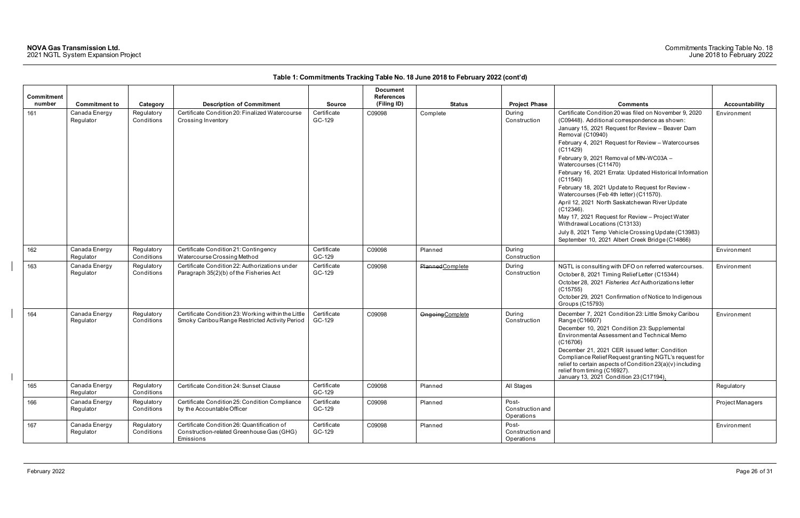| <b>Commitment</b><br>number | <b>Commitment to</b>       | Category                 | <b>Description of Commitment</b>                                                                      | <b>Source</b>         | <b>Document</b><br><b>References</b><br>(Filing ID) | Status                  | <b>Project Phase</b>                    | <b>Comments</b>                                                                                                                                                                                                                                                                                                                                                                                                                                                                                                                                                                                                                                                                                         | Accountability   |
|-----------------------------|----------------------------|--------------------------|-------------------------------------------------------------------------------------------------------|-----------------------|-----------------------------------------------------|-------------------------|-----------------------------------------|---------------------------------------------------------------------------------------------------------------------------------------------------------------------------------------------------------------------------------------------------------------------------------------------------------------------------------------------------------------------------------------------------------------------------------------------------------------------------------------------------------------------------------------------------------------------------------------------------------------------------------------------------------------------------------------------------------|------------------|
| 161                         | Canada Energy<br>Regulator | Regulatory<br>Conditions | Certificate Condition 20: Finalized Watercourse<br>Crossing Inventory                                 | Certificate<br>GC-129 | C09098                                              | Complete                | During<br>Construction                  | Certificate Condition 20 was filed on November 9, 2020<br>(C09448). Additional correspondence as shown:<br>January 15, 2021 Request for Review - Beaver Dam<br>Removal (C10940)<br>February 4, 2021 Request for Review - Watercourses<br>(C11429)<br>February 9, 2021 Removal of MN-WC03A -<br>Watercourses (C11470)<br>February 16, 2021 Errata: Updated Historical Information<br>(C11540)<br>February 18, 2021 Update to Request for Review -<br>Watercourses (Feb 4th letter) (C11570).<br>April 12, 2021 North Saskatchewan River Update<br>$(C12346)$ .<br>May 17, 2021 Request for Review - Project Water<br>Withdrawal Locations (C13133)<br>July 8, 2021 Temp Vehicle Crossing Update (C13983) | Environment      |
| 162                         | Canada Energy<br>Regulator | Regulatory<br>Conditions | Certificate Condition 21: Contingency<br>Watercourse Crossing Method                                  | Certificate<br>GC-129 | C09098                                              | Planned                 | During<br>Construction                  | September 10, 2021 Albert Creek Bridge (C14866)                                                                                                                                                                                                                                                                                                                                                                                                                                                                                                                                                                                                                                                         | Environment      |
| 163                         | Canada Energy<br>Regulator | Regulatory<br>Conditions | Certificate Condition 22: Authorizations under<br>Paragraph 35(2)(b) of the Fisheries Act             | Certificate<br>GC-129 | C09098                                              | Planned Complete        | During<br>Construction                  | NGTL is consulting with DFO on referred watercourses.<br>October 8, 2021 Timing Relief Letter (C15344)<br>October 28, 2021 Fisheries Act Authorizations letter<br>(C15755)<br>October 29, 2021 Confirmation of Notice to Indigenous<br>Groups (C15793)                                                                                                                                                                                                                                                                                                                                                                                                                                                  | Environment      |
| 164                         | Canada Energy<br>Regulator | Regulatory<br>Conditions | Certificate Condition 23: Working within the Little<br>Smoky Caribou Range Restricted Activity Period | Certificate<br>GC-129 | C09098                                              | <b>Ongoing Complete</b> | During<br>Construction                  | December 7, 2021 Condition 23: Little Smoky Caribou<br>Range (C16607)<br>December 10, 2021 Condition 23: Supplemental<br>Environmental Assessment and Technical Memo<br>(C16706)<br>December 21, 2021 CER issued letter: Condition<br>Compliance Relief Request granting NGTL's request for<br>relief to certain aspects of Condition 23(a)(v) including<br>relief from timing (C16927).<br>January 13, 2021 Condition 23 (C17194).                                                                                                                                                                                                                                                                     | Environment      |
| 165                         | Canada Energy<br>Regulator | Regulatory<br>Conditions | Certificate Condition 24: Sunset Clause                                                               | Certificate<br>GC-129 | C09098                                              | Planned                 | All Stages                              |                                                                                                                                                                                                                                                                                                                                                                                                                                                                                                                                                                                                                                                                                                         | Regulatory       |
| 166                         | Canada Energy<br>Regulator | Regulatory<br>Conditions | Certificate Condition 25: Condition Compliance<br>by the Accountable Officer                          | Certificate<br>GC-129 | C09098                                              | Planned                 | Post-<br>Construction and<br>Operations |                                                                                                                                                                                                                                                                                                                                                                                                                                                                                                                                                                                                                                                                                                         | Project Managers |
| 167                         | Canada Energy<br>Regulator | Regulatory<br>Conditions | Certificate Condition 26: Quantification of<br>Construction-related Greenhouse Gas (GHG)<br>Emissions | Certificate<br>GC-129 | C09098                                              | Planned                 | Post-<br>Construction and<br>Operations |                                                                                                                                                                                                                                                                                                                                                                                                                                                                                                                                                                                                                                                                                                         | Environment      |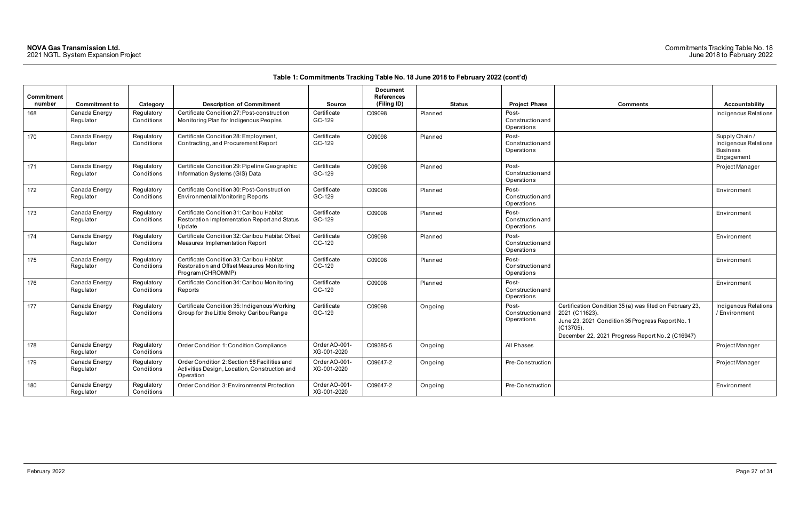| <b>Comments</b>                                                                                                                                                                                 | <b>Accountability</b>                                                   |
|-------------------------------------------------------------------------------------------------------------------------------------------------------------------------------------------------|-------------------------------------------------------------------------|
|                                                                                                                                                                                                 | Indigenous Relations                                                    |
|                                                                                                                                                                                                 | Supply Chain /<br>Indigenous Relations<br><b>Business</b><br>Engagement |
|                                                                                                                                                                                                 | Project Manager                                                         |
|                                                                                                                                                                                                 | Environment                                                             |
|                                                                                                                                                                                                 | Environment                                                             |
|                                                                                                                                                                                                 | Environment                                                             |
|                                                                                                                                                                                                 | Environment                                                             |
|                                                                                                                                                                                                 | Environment                                                             |
| Certification Condition 35 (a) was filed on February 23,<br>2021 (C11623).<br>June 23, 2021 Condition 35 Progress Report No. 1<br>(C13705).<br>December 22, 2021 Progress Report No. 2 (C16947) | Indigenous Relations<br>/ Environment                                   |
|                                                                                                                                                                                                 | Project Manager                                                         |
|                                                                                                                                                                                                 | Project Manager                                                         |
|                                                                                                                                                                                                 | Environment                                                             |

| <b>Commitment</b><br>number | <b>Commitment to</b>       | Category                 | <b>Description of Commitment</b>                                                                             | <b>Source</b>                | <b>Document</b><br><b>References</b><br>(Filing ID) | <b>Status</b> | <b>Project Phase</b>                           | <b>Comments</b>                                                                                                                                                                                 | Accountability                                                        |
|-----------------------------|----------------------------|--------------------------|--------------------------------------------------------------------------------------------------------------|------------------------------|-----------------------------------------------------|---------------|------------------------------------------------|-------------------------------------------------------------------------------------------------------------------------------------------------------------------------------------------------|-----------------------------------------------------------------------|
| 168                         | Canada Energy<br>Regulator | Regulatory<br>Conditions | Certificate Condition 27: Post-construction<br>Monitoring Plan for Indigenous Peoples                        | Certificate<br>GC-129        | C09098                                              | Planned       | Post-<br>Construction and<br>Operations        |                                                                                                                                                                                                 | Indigenous Relatio                                                    |
| 170                         | Canada Energy<br>Regulator | Regulatory<br>Conditions | Certificate Condition 28: Employment,<br>Contracting, and Procurement Report                                 | Certificate<br>GC-129        | C09098                                              | Planned       | Post-<br><b>Construction and</b><br>Operations |                                                                                                                                                                                                 | Supply Chain /<br>Indigenous Relatio<br><b>Business</b><br>Engagement |
| 171                         | Canada Energy<br>Regulator | Regulatory<br>Conditions | Certificate Condition 29: Pipeline Geographic<br>Information Systems (GIS) Data                              | Certificate<br>GC-129        | C09098                                              | Planned       | Post-<br><b>Construction and</b><br>Operations |                                                                                                                                                                                                 | Project Manager                                                       |
| 172                         | Canada Energy<br>Regulator | Regulatory<br>Conditions | Certificate Condition 30: Post-Construction<br><b>Environmental Monitoring Reports</b>                       | Certificate<br>GC-129        | C09098                                              | Planned       | Post-<br>Construction and<br>Operations        |                                                                                                                                                                                                 | Environment                                                           |
| 173                         | Canada Energy<br>Regulator | Regulatory<br>Conditions | Certificate Condition 31: Caribou Habitat<br>Restoration Implementation Report and Status<br>Update          | Certificate<br>GC-129        | C09098                                              | Planned       | Post-<br><b>Construction and</b><br>Operations |                                                                                                                                                                                                 | Environment                                                           |
| 174                         | Canada Energy<br>Regulator | Regulatory<br>Conditions | Certificate Condition 32: Caribou Habitat Offset<br>Measures Implementation Report                           | Certificate<br>GC-129        | C09098                                              | Planned       | Post-<br><b>Construction and</b><br>Operations |                                                                                                                                                                                                 | Environment                                                           |
| 175                         | Canada Energy<br>Regulator | Regulatory<br>Conditions | Certificate Condition 33: Caribou Habitat<br>Restoration and Offset Measures Monitoring<br>Program (CHROMMP) | Certificate<br>GC-129        | C09098                                              | Planned       | Post-<br>Construction and<br>Operations        |                                                                                                                                                                                                 | Environment                                                           |
| 176                         | Canada Energy<br>Regulator | Regulatory<br>Conditions | Certificate Condition 34: Caribou Monitoring<br>Reports                                                      | Certificate<br>GC-129        | C09098                                              | Planned       | Post-<br>Construction and<br>Operations        |                                                                                                                                                                                                 | Environment                                                           |
| 177                         | Canada Energy<br>Regulator | Regulatory<br>Conditions | Certificate Condition 35: Indigenous Working<br>Group for the Little Smoky Caribou Range                     | Certificate<br>GC-129        | C09098                                              | Ongoing       | Post-<br>Construction and<br>Operations        | Certification Condition 35 (a) was filed on February 23,<br>2021 (C11623).<br>June 23, 2021 Condition 35 Progress Report No. 1<br>(C13705).<br>December 22, 2021 Progress Report No. 2 (C16947) | Indigenous Relatio<br>/ Environment                                   |
| 178                         | Canada Energy<br>Regulator | Regulatory<br>Conditions | Order Condition 1: Condition Compliance                                                                      | Order AO-001-<br>XG-001-2020 | C09385-5                                            | Ongoing       | All Phases                                     |                                                                                                                                                                                                 | Project Manager                                                       |
| 179                         | Canada Energy<br>Regulator | Regulatory<br>Conditions | Order Condition 2: Section 58 Facilities and<br>Activities Design, Location, Construction and<br>Operation   | Order AO-001-<br>XG-001-2020 | C09647-2                                            | Ongoing       | Pre-Construction                               |                                                                                                                                                                                                 | Project Manager                                                       |
| 180                         | Canada Energy<br>Regulator | Regulatory<br>Conditions | Order Condition 3: Environmental Protection                                                                  | Order AO-001-<br>XG-001-2020 | C09647-2                                            | Ongoing       | Pre-Construction                               |                                                                                                                                                                                                 | Environment                                                           |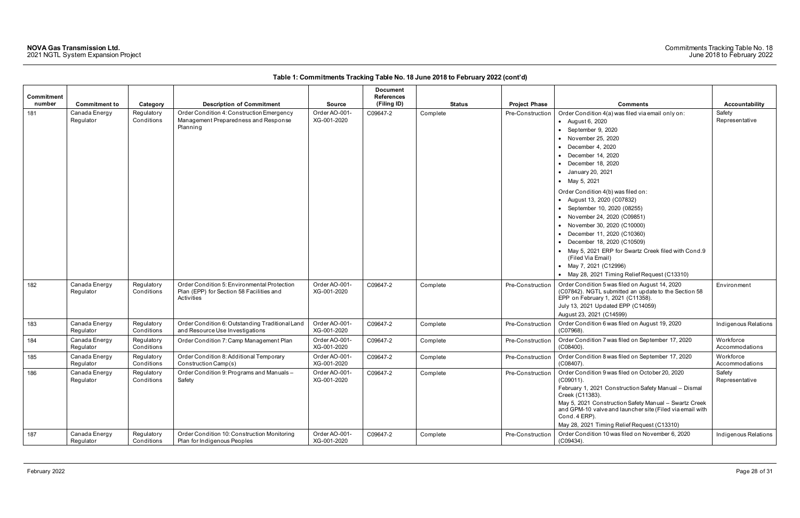| Commitment<br>number | <b>Commitment to</b>       | Category                 | <b>Description of Commitment</b>                                                                      | <b>Source</b>                | <b>Document</b><br><b>References</b><br>(Filing ID) | <b>Status</b> | <b>Project Phase</b> | <b>Comments</b>                                                                                                                                                                                                                                                                                                                                                                                                                                                                                                                                                                                                                                  | <b>Accountability</b>       |
|----------------------|----------------------------|--------------------------|-------------------------------------------------------------------------------------------------------|------------------------------|-----------------------------------------------------|---------------|----------------------|--------------------------------------------------------------------------------------------------------------------------------------------------------------------------------------------------------------------------------------------------------------------------------------------------------------------------------------------------------------------------------------------------------------------------------------------------------------------------------------------------------------------------------------------------------------------------------------------------------------------------------------------------|-----------------------------|
| 181                  | Canada Energy<br>Regulator | Regulatory<br>Conditions | Order Condition 4: Construction Emergency<br>Management Preparedness and Response<br>Planning         | Order AO-001-<br>XG-001-2020 | C09647-2                                            | Complete      | Pre-Construction     | Order Condition 4(a) was filed via email only on:<br>• August 6, 2020<br>September 9, 2020<br>• November 25, 2020<br>$\bullet$ December 4, 2020<br>$\bullet$ December 14, 2020<br>$\bullet$ December 18, 2020<br>• January 20, 2021<br>• May 5, 2021<br>Order Condition 4(b) was filed on:<br>• August 13, 2020 (C07832)<br>• September 10, 2020 (08255)<br>• November 24, 2020 (C09851)<br>• November 30, 2020 (C10000)<br>• December 11, 2020 (C10360)<br>• December 18, 2020 (C10509)<br>• May 5, 2021 ERP for Swartz Creek filed with Cond.9<br>(Filed Via Email)<br>• May 7, 2021 (C12996)<br>• May 28, 2021 Timing Relief Request (C13310) | Safety<br>Representative    |
| 182                  | Canada Energy<br>Regulator | Regulatory<br>Conditions | Order Condition 5: Environmental Protection<br>Plan (EPP) for Section 58 Facilities and<br>Activities | Order AO-001-<br>XG-001-2020 | C09647-2                                            | Complete      | Pre-Construction     | Order Condition 5 was filed on August 14, 2020<br>(C07842). NGTL submitted an update to the Section 58<br>EPP on February 1, 2021 (C11358).<br>July 13, 2021 Updated EPP (C14059)<br>August 23, 2021 (C14599)                                                                                                                                                                                                                                                                                                                                                                                                                                    | Environment                 |
| 183                  | Canada Energy<br>Regulator | Regulatory<br>Conditions | Order Condition 6: Outstanding Traditional Land<br>and Resource Use Investigations                    | Order AO-001-<br>XG-001-2020 | C09647-2                                            | Complete      | Pre-Construction     | Order Condition 6 was filed on August 19, 2020<br>(C07968).                                                                                                                                                                                                                                                                                                                                                                                                                                                                                                                                                                                      | Indigenous Relations        |
| 184                  | Canada Energy<br>Regulator | Regulatory<br>Conditions | Order Condition 7: Camp Management Plan                                                               | Order AO-001-<br>XG-001-2020 | C09647-2                                            | Complete      | Pre-Construction     | Order Condition 7 was filed on September 17, 2020<br>$(C08400)$ .                                                                                                                                                                                                                                                                                                                                                                                                                                                                                                                                                                                | Workforce<br>Accommodations |
| 185                  | Canada Energy<br>Regulator | Regulatory<br>Conditions | Order Condition 8: Additional Temporary<br>Construction Camp(s)                                       | Order AO-001-<br>XG-001-2020 | C09647-2                                            | Complete      | Pre-Construction     | Order Condition 8 was filed on September 17, 2020<br>$(C08407)$ .                                                                                                                                                                                                                                                                                                                                                                                                                                                                                                                                                                                | Workforce<br>Accommodations |
| 186                  | Canada Energy<br>Regulator | Regulatory<br>Conditions | Order Condition 9: Programs and Manuals-<br>Safety                                                    | Order AO-001-<br>XG-001-2020 | C09647-2                                            | Complete      | Pre-Construction     | Order Condition 9 was filed on October 20, 2020<br>(C09011).<br>February 1, 2021 Construction Safety Manual - Dismal<br>Creek (C11383).<br>May 5, 2021 Construction Safety Manual - Swartz Creek<br>and GPM-10 valve and launcher site (Filed via email with<br>Cond. 4 ERP).<br>May 28, 2021 Timing Relief Request (C13310)                                                                                                                                                                                                                                                                                                                     | Safety<br>Representative    |
| 187                  | Canada Energy<br>Regulator | Regulatory<br>Conditions | Order Condition 10: Construction Monitoring<br>Plan for Indigenous Peoples                            | Order AO-001-<br>XG-001-2020 | C09647-2                                            | Complete      | Pre-Construction     | Order Condition 10 was filed on November 6, 2020<br>$(C09434)$ .                                                                                                                                                                                                                                                                                                                                                                                                                                                                                                                                                                                 | Indigenous Relations        |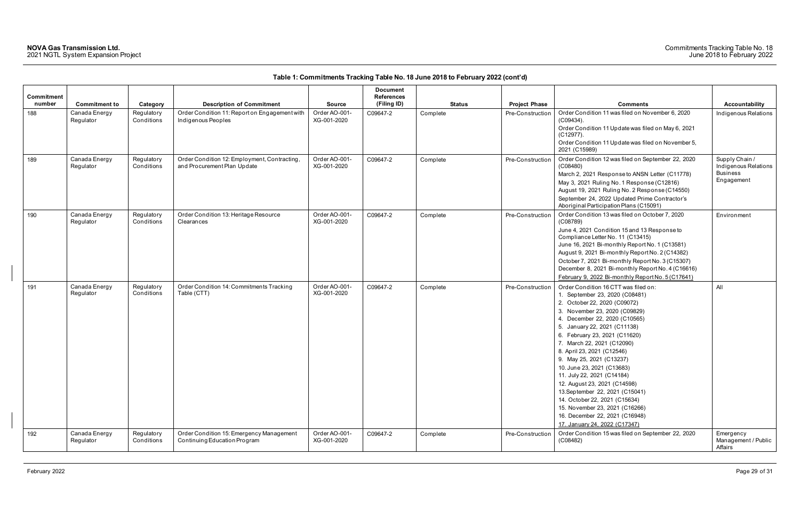| <b>Commitment</b><br>number | <b>Commitment to</b>       | Category                 | <b>Description of Commitment</b>                                            | <b>Source</b>                | <b>Document</b><br><b>References</b><br>(Filing ID) | <b>Status</b> | <b>Project Phase</b> | <b>Comments</b>                                                                                                                                                                                                                                                                                                                                                                                                                                                                                                                                                                                        | Accountability                                                          |
|-----------------------------|----------------------------|--------------------------|-----------------------------------------------------------------------------|------------------------------|-----------------------------------------------------|---------------|----------------------|--------------------------------------------------------------------------------------------------------------------------------------------------------------------------------------------------------------------------------------------------------------------------------------------------------------------------------------------------------------------------------------------------------------------------------------------------------------------------------------------------------------------------------------------------------------------------------------------------------|-------------------------------------------------------------------------|
| 188                         | Canada Energy<br>Regulator | Regulatory<br>Conditions | Order Condition 11: Report on Engagement with<br>Indigenous Peoples         | Order AO-001-<br>XG-001-2020 | C09647-2                                            | Complete      | Pre-Construction     | Order Condition 11 was filed on November 6, 2020<br>$(C09434)$ .<br>Order Condition 11 Update was filed on May 6, 2021<br>$(C12977)$ .<br>Order Condition 11 Update was filed on November 5,<br>2021 (C15989)                                                                                                                                                                                                                                                                                                                                                                                          | Indigenous Relations                                                    |
| 189                         | Canada Energy<br>Regulator | Regulatory<br>Conditions | Order Condition 12: Employment, Contracting,<br>and Procurement Plan Update | Order AO-001-<br>XG-001-2020 | C09647-2                                            | Complete      | Pre-Construction     | Order Condition 12 was filed on September 22, 2020<br>(C08480)<br>March 2, 2021 Response to ANSN Letter (C11778)<br>May 3, 2021 Ruling No. 1 Response (C12816)<br>August 19, 2021 Ruling No. 2 Response (C14550)<br>September 24, 2022 Updated Prime Contractor's<br>Aboriginal Participation Plans (C15091)                                                                                                                                                                                                                                                                                           | Supply Chain /<br>Indigenous Relations<br><b>Business</b><br>Engagement |
| 190                         | Canada Energy<br>Regulator | Regulatory<br>Conditions | Order Condition 13: Heritage Resource<br>Clearances                         | Order AO-001-<br>XG-001-2020 | C09647-2                                            | Complete      | Pre-Construction     | Order Condition 13 was filed on October 7, 2020<br>(C08789)<br>June 4, 2021 Condition 15 and 13 Response to<br>Compliance Letter No. 11 (C13415)<br>June 16, 2021 Bi-monthly Report No. 1 (C13581)<br>August 9, 2021 Bi-monthly Report No. 2 (C14382)<br>October 7, 2021 Bi-monthly Report No. 3 (C15307)<br>December 8, 2021 Bi-monthly Report No. 4 (C16616)<br>February 9, 2022 Bi-monthly Report No. 5 (C17641)                                                                                                                                                                                    | Environment                                                             |
| 191                         | Canada Energy<br>Regulator | Regulatory<br>Conditions | Order Condition 14: Commitments Tracking<br>Table (CTT)                     | Order AO-001-<br>XG-001-2020 | C09647-2                                            | Complete      | Pre-Construction     | Order Condition 16 CTT was filed on:<br>1. September 23, 2020 (C08481)<br>2. October 22, 2020 (C09072)<br>3. November 23, 2020 (C09829)<br>4. December 22, 2020 (C10565)<br>5. January 22, 2021 (C11138)<br>6. February 23, 2021 (C11620)<br>7. March 22, 2021 (C12090)<br>8. April 23, 2021 (C12546)<br>9. May 25, 2021 (C13237)<br>10. June 23, 2021 (C13683)<br>11. July 22, 2021 (C14184)<br>12. August 23, 2021 (C14598)<br>13. September 22, 2021 (C15041)<br>14. October 22, 2021 (C15634)<br>15. November 23, 2021 (C16266)<br>16. December 22, 2021 (C16948)<br>17. January 24, 2022 (C17347) | All                                                                     |
| 192                         | Canada Energy<br>Regulator | Regulatory<br>Conditions | Order Condition 15: Emergency Management<br>Continuing Education Program    | Order AO-001-<br>XG-001-2020 | C09647-2                                            | Complete      | Pre-Construction     | Order Condition 15 was filed on September 22, 2020<br>(C08482)                                                                                                                                                                                                                                                                                                                                                                                                                                                                                                                                         | Emergency<br>Management / Public<br>Affairs                             |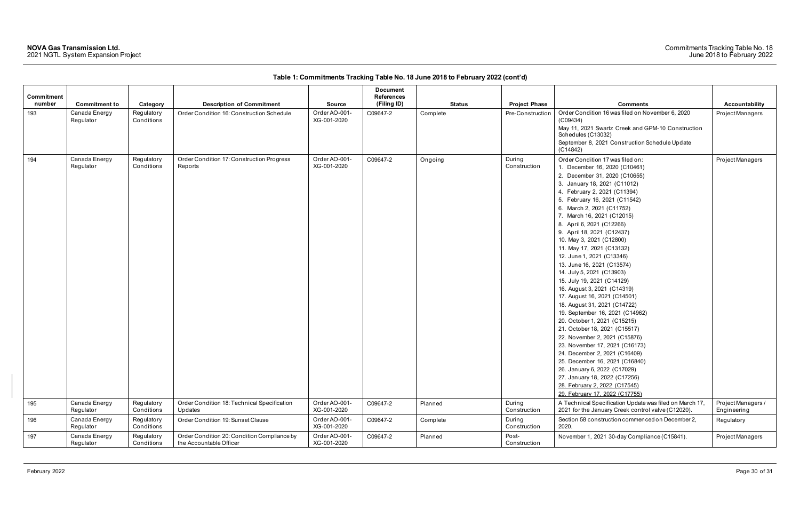### Commitments Tracking Table No. 18 June 2018 to February 2022

| Commitment<br>number | <b>Commitment to</b>       | Category                 | <b>Description of Commitment</b>                                       | <b>Source</b>                | <b>Document</b><br><b>References</b><br>(Filing ID) | <b>Status</b> | <b>Project Phase</b>   | <b>Comments</b>                                                                                                                                                                                                                                                                                                                                                                                                                                                                                                                                                                                                                                                                                                                                                                                                                                                                                                                                                                       | Accountability                    |
|----------------------|----------------------------|--------------------------|------------------------------------------------------------------------|------------------------------|-----------------------------------------------------|---------------|------------------------|---------------------------------------------------------------------------------------------------------------------------------------------------------------------------------------------------------------------------------------------------------------------------------------------------------------------------------------------------------------------------------------------------------------------------------------------------------------------------------------------------------------------------------------------------------------------------------------------------------------------------------------------------------------------------------------------------------------------------------------------------------------------------------------------------------------------------------------------------------------------------------------------------------------------------------------------------------------------------------------|-----------------------------------|
| 193                  | Canada Energy<br>Regulator | Regulatory<br>Conditions | Order Condition 16: Construction Schedule                              | Order AO-001-<br>XG-001-2020 | C09647-2                                            | Complete      | Pre-Construction       | Order Condition 16 was filed on November 6, 2020<br>(C09434)<br>May 11, 2021 Swartz Creek and GPM-10 Construction<br>Schedules (C13032)<br>September 8, 2021 Construction Schedule Update<br>(C14842)                                                                                                                                                                                                                                                                                                                                                                                                                                                                                                                                                                                                                                                                                                                                                                                 | Project Managers                  |
| 194                  | Canada Energy<br>Regulator | Regulatory<br>Conditions | Order Condition 17: Construction Progress<br>Reports                   | Order AO-001-<br>XG-001-2020 | C09647-2                                            | Ongoing       | During<br>Construction | Order Condition 17 was filed on:<br>1. December 16, 2020 (C10461)<br>2. December 31, 2020 (C10655)<br>3. January 18, 2021 (C11012)<br>4. February 2, 2021 (C11394)<br>5. February 16, 2021 (C11542)<br>6. March 2, 2021 (C11752)<br>7. March 16, 2021 (C12015)<br>8. April 6, 2021 (C12266)<br>9. April 18, 2021 (C12437)<br>10. May 3, 2021 (C12800)<br>11. May 17, 2021 (C13132)<br>12. June 1, 2021 (C13346)<br>13. June 16, 2021 (C13574)<br>14. July 5, 2021 (C13903)<br>15. July 19, 2021 (C14129)<br>16. August 3, 2021 (C14319)<br>17. August 16, 2021 (C14501)<br>18. August 31, 2021 (C14722)<br>19. September 16, 2021 (C14962)<br>20. October 1, 2021 (C15215)<br>21. October 18, 2021 (C15517)<br>22. November 2, 2021 (C15876)<br>23. November 17, 2021 (C16173)<br>24. December 2, 2021 (C16409)<br>25. December 16, 2021 (C16840)<br>26. January 6, 2022 (C17029)<br>27. January 18, 2022 (C17256)<br>28. February 2, 2022 (C17545)<br>29. February 17, 2022 (C17755) | Project Managers                  |
| 195                  | Canada Energy<br>Regulator | Regulatory<br>Conditions | Order Condition 18: Technical Specification<br>Updates                 | Order AO-001-<br>XG-001-2020 | C09647-2                                            | Planned       | During<br>Construction | A Technical Specification Update was filed on March 17,<br>2021 for the January Creek control valve (C12020).                                                                                                                                                                                                                                                                                                                                                                                                                                                                                                                                                                                                                                                                                                                                                                                                                                                                         | Project Managers /<br>Engineering |
| 196                  | Canada Energy<br>Regulator | Regulatory<br>Conditions | Order Condition 19: Sunset Clause                                      | Order AO-001-<br>XG-001-2020 | C09647-2                                            | Complete      | During<br>Construction | Section 58 construction commenced on December 2,<br>2020.                                                                                                                                                                                                                                                                                                                                                                                                                                                                                                                                                                                                                                                                                                                                                                                                                                                                                                                             | Regulatory                        |
| 197                  | Canada Energy<br>Regulator | Regulatory<br>Conditions | Order Condition 20: Condition Compliance by<br>the Accountable Officer | Order AO-001-<br>XG-001-2020 | C09647-2                                            | Planned       | Post-<br>Construction  | November 1, 2021 30-day Compliance (C15841).                                                                                                                                                                                                                                                                                                                                                                                                                                                                                                                                                                                                                                                                                                                                                                                                                                                                                                                                          | Project Managers                  |